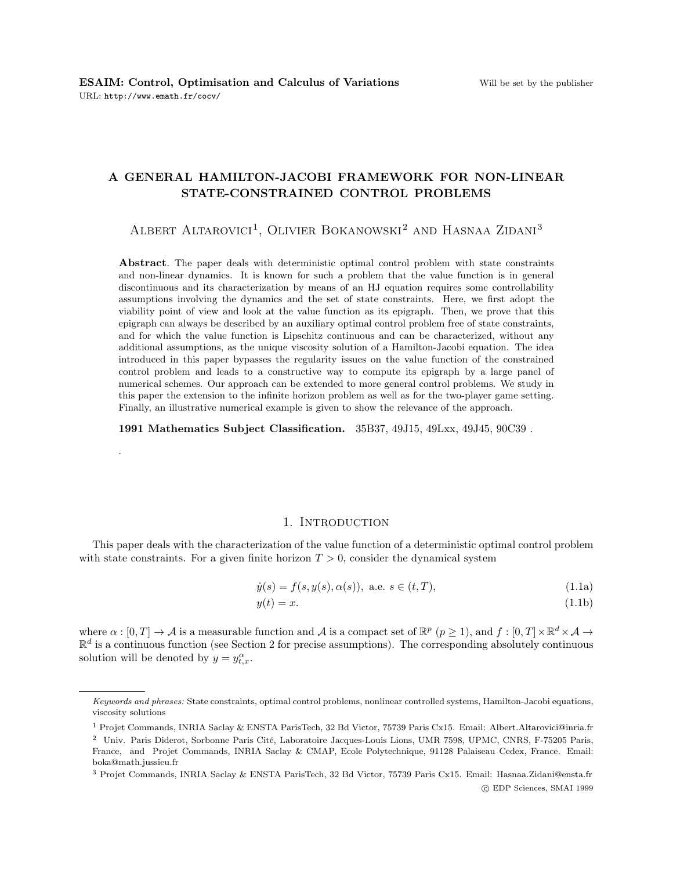.

# A GENERAL HAMILTON-JACOBI FRAMEWORK FOR NON-LINEAR STATE-CONSTRAINED CONTROL PROBLEMS

ALBERT ALTAROVICI<sup>1</sup>, OLIVIER BOKANOWSKI<sup>2</sup> AND HASNAA ZIDANI<sup>3</sup>

Abstract. The paper deals with deterministic optimal control problem with state constraints and non-linear dynamics. It is known for such a problem that the value function is in general discontinuous and its characterization by means of an HJ equation requires some controllability assumptions involving the dynamics and the set of state constraints. Here, we first adopt the viability point of view and look at the value function as its epigraph. Then, we prove that this epigraph can always be described by an auxiliary optimal control problem free of state constraints, and for which the value function is Lipschitz continuous and can be characterized, without any additional assumptions, as the unique viscosity solution of a Hamilton-Jacobi equation. The idea introduced in this paper bypasses the regularity issues on the value function of the constrained control problem and leads to a constructive way to compute its epigraph by a large panel of numerical schemes. Our approach can be extended to more general control problems. We study in this paper the extension to the infinite horizon problem as well as for the two-player game setting. Finally, an illustrative numerical example is given to show the relevance of the approach.

1991 Mathematics Subject Classification. 35B37, 49J15, 49Lxx, 49J45, 90C39 .

## 1. Introduction

This paper deals with the characterization of the value function of a deterministic optimal control problem with state constraints. For a given finite horizon  $T > 0$ , consider the dynamical system

$$
\dot{y}(s) = f(s, y(s), \alpha(s)), \text{ a.e. } s \in (t, T), \tag{1.1a}
$$

$$
y(t) = x.\tag{1.1b}
$$

where  $\alpha : [0, T] \to A$  is a measurable function and A is a compact set of  $\mathbb{R}^p$   $(p \ge 1)$ , and  $f : [0, T] \times \mathbb{R}^d \times A \to$  $\mathbb{R}^d$  is a continuous function (see Section 2 for precise assumptions). The corresponding absolutely continuous solution will be denoted by  $y = y_{t,x}^{\alpha}$ .

c EDP Sciences, SMAI 1999

Keywords and phrases: State constraints, optimal control problems, nonlinear controlled systems, Hamilton-Jacobi equations, viscosity solutions

<sup>1</sup> Projet Commands, INRIA Saclay & ENSTA ParisTech, 32 Bd Victor, 75739 Paris Cx15. Email: Albert.Altarovici@inria.fr

<sup>2</sup> Univ. Paris Diderot, Sorbonne Paris Cité, Laboratoire Jacques-Louis Lions, UMR 7598, UPMC, CNRS, F-75205 Paris, France, and Projet Commands, INRIA Saclay & CMAP, Ecole Polytechnique, 91128 Palaiseau Cedex, France. Email: boka@math.jussieu.fr

<sup>3</sup> Projet Commands, INRIA Saclay & ENSTA ParisTech, 32 Bd Victor, 75739 Paris Cx15. Email: Hasnaa.Zidani@ensta.fr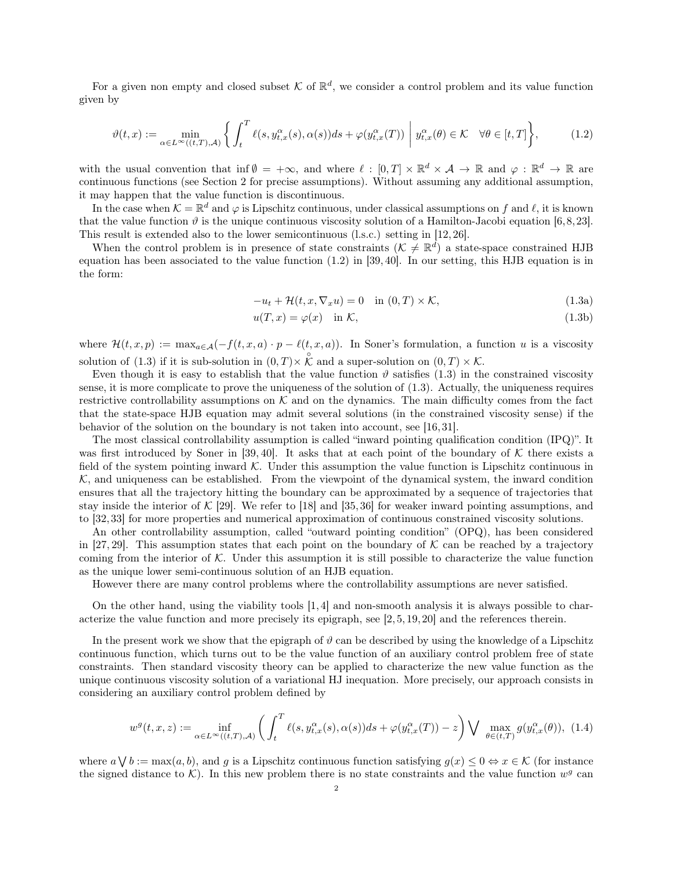For a given non empty and closed subset K of  $\mathbb{R}^d$ , we consider a control problem and its value function given by

$$
\vartheta(t,x) := \min_{\alpha \in L^{\infty}((t,T),\mathcal{A})} \left\{ \int_{t}^{T} \ell(s, y_{t,x}^{\alpha}(s), \alpha(s))ds + \varphi(y_{t,x}^{\alpha}(T)) \middle| y_{t,x}^{\alpha}(\theta) \in \mathcal{K} \quad \forall \theta \in [t,T] \right\},\tag{1.2}
$$

with the usual convention that inf $\emptyset = +\infty$ , and where  $\ell : [0, T] \times \mathbb{R}^d \times \mathcal{A} \to \mathbb{R}$  and  $\varphi : \mathbb{R}^d \to \mathbb{R}$  are continuous functions (see Section 2 for precise assumptions). Without assuming any additional assumption, it may happen that the value function is discontinuous.

In the case when  $\mathcal{K} = \mathbb{R}^d$  and  $\varphi$  is Lipschitz continuous, under classical assumptions on f and  $\ell$ , it is known that the value function  $\vartheta$  is the unique continuous viscosity solution of a Hamilton-Jacobi equation [6,8,23]. This result is extended also to the lower semicontinuous (l.s.c.) setting in [12, 26].

When the control problem is in presence of state constraints  $(\mathcal{K} \neq \mathbb{R}^d)$  a state-space constrained HJB equation has been associated to the value function (1.2) in [39, 40]. In our setting, this HJB equation is in the form:

$$
-u_t + \mathcal{H}(t, x, \nabla_x u) = 0 \quad \text{in } (0, T) \times \mathcal{K}, \tag{1.3a}
$$

$$
u(T, x) = \varphi(x) \quad \text{in } \mathcal{K}, \tag{1.3b}
$$

where  $\mathcal{H}(t, x, p) := \max_{a \in \mathcal{A}} (-f(t, x, a) \cdot p - \ell(t, x, a))$ . In Soner's formulation, a function u is a viscosity solution of (1.3) if it is sub-solution in  $(0,T) \times \overset{\circ}{\mathcal{K}}$  and a super-solution on  $(0,T) \times \mathcal{K}$ .

Even though it is easy to establish that the value function  $\vartheta$  satisfies (1.3) in the constrained viscosity sense, it is more complicate to prove the uniqueness of the solution of (1.3). Actually, the uniqueness requires restrictive controllability assumptions on  $K$  and on the dynamics. The main difficulty comes from the fact that the state-space HJB equation may admit several solutions (in the constrained viscosity sense) if the behavior of the solution on the boundary is not taken into account, see [16, 31].

The most classical controllability assumption is called "inward pointing qualification condition (IPQ)". It was first introduced by Soner in [39, 40]. It asks that at each point of the boundary of  $K$  there exists a field of the system pointing inward  $\mathcal K$ . Under this assumption the value function is Lipschitz continuous in  $K$ , and uniqueness can be established. From the viewpoint of the dynamical system, the inward condition ensures that all the trajectory hitting the boundary can be approximated by a sequence of trajectories that stay inside the interior of  $\mathcal{K}$  [29]. We refer to [18] and [35, 36] for weaker inward pointing assumptions, and to [32, 33] for more properties and numerical approximation of continuous constrained viscosity solutions.

An other controllability assumption, called "outward pointing condition" (OPQ), has been considered in [27, 29]. This assumption states that each point on the boundary of  $K$  can be reached by a trajectory coming from the interior of  $K$ . Under this assumption it is still possible to characterize the value function as the unique lower semi-continuous solution of an HJB equation.

However there are many control problems where the controllability assumptions are never satisfied.

On the other hand, using the viability tools [1, 4] and non-smooth analysis it is always possible to characterize the value function and more precisely its epigraph, see [2, 5, 19, 20] and the references therein.

In the present work we show that the epigraph of  $\vartheta$  can be described by using the knowledge of a Lipschitz continuous function, which turns out to be the value function of an auxiliary control problem free of state constraints. Then standard viscosity theory can be applied to characterize the new value function as the unique continuous viscosity solution of a variational HJ inequation. More precisely, our approach consists in considering an auxiliary control problem defined by

$$
w^{g}(t,x,z) := \inf_{\alpha \in L^{\infty}((t,T),\mathcal{A})} \left( \int_{t}^{T} \ell(s, y_{t,x}^{\alpha}(s), \alpha(s)) ds + \varphi(y_{t,x}^{\alpha}(T)) - z \right) \bigvee \max_{\theta \in (t,T)} g(y_{t,x}^{\alpha}(\theta)), \tag{1.4}
$$

where  $a \setminus b := \max(a, b)$ , and g is a Lipschitz continuous function satisfying  $g(x) \leq 0 \Leftrightarrow x \in \mathcal{K}$  (for instance the signed distance to  $K$ ). In this new problem there is no state constraints and the value function  $w<sup>g</sup>$  can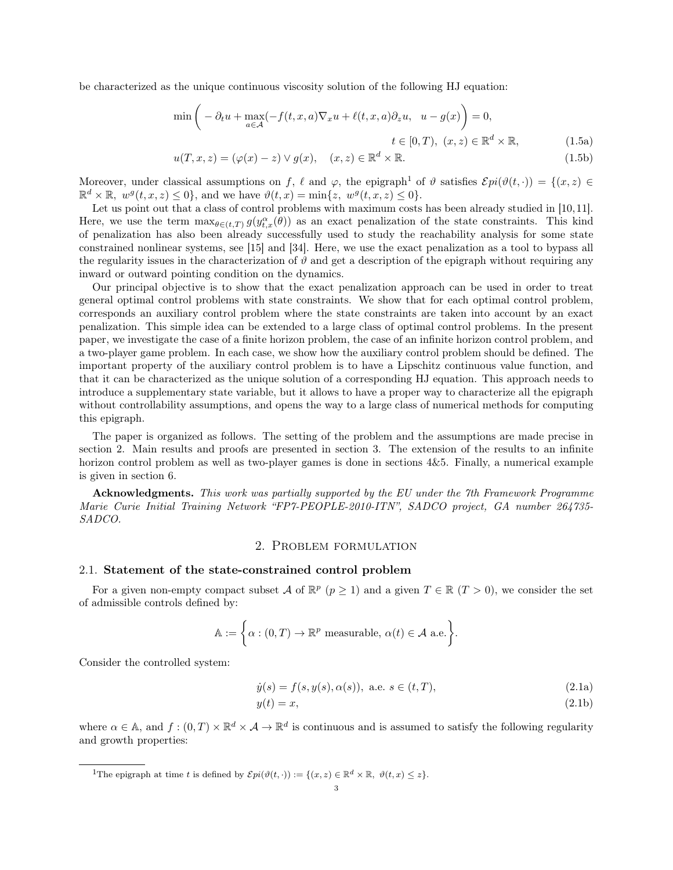be characterized as the unique continuous viscosity solution of the following HJ equation:

$$
\min\left(-\partial_t u + \max_{a \in \mathcal{A}} (-f(t, x, a)\nabla_x u + \ell(t, x, a)\partial_z u, u - g(x)\right) = 0,
$$
  
\n
$$
t \in [0, T), (x, z) \in \mathbb{R}^d \times \mathbb{R}, \qquad (1.5a)
$$
  
\n
$$
u(T, x, z) = (\varphi(x) - z) \vee g(x), (x, z) \in \mathbb{R}^d \times \mathbb{R}. \qquad (1.5b)
$$

Moreover, under classical assumptions on f,  $\ell$  and  $\varphi$ , the epigraph<sup>1</sup> of  $\vartheta$  satisfies  $\mathcal{E}pi(\vartheta(t, \cdot)) = \{(x, z) \in$  $\mathbb{R}^d \times \mathbb{R}, w^g(t, x, z) \leq 0$ , and we have  $\vartheta(t, x) = \min\{z, w^g(t, x, z) \leq 0\}.$ 

Let us point out that a class of control problems with maximum costs has been already studied in [10,11]. Here, we use the term  $\max_{\theta \in (t,T)} g(y_{t,x}^{\alpha}(\theta))$  as an exact penalization of the state constraints. This kind of penalization has also been already successfully used to study the reachability analysis for some state constrained nonlinear systems, see [15] and [34]. Here, we use the exact penalization as a tool to bypass all the regularity issues in the characterization of  $\vartheta$  and get a description of the epigraph without requiring any inward or outward pointing condition on the dynamics.

Our principal objective is to show that the exact penalization approach can be used in order to treat general optimal control problems with state constraints. We show that for each optimal control problem, corresponds an auxiliary control problem where the state constraints are taken into account by an exact penalization. This simple idea can be extended to a large class of optimal control problems. In the present paper, we investigate the case of a finite horizon problem, the case of an infinite horizon control problem, and a two-player game problem. In each case, we show how the auxiliary control problem should be defined. The important property of the auxiliary control problem is to have a Lipschitz continuous value function, and that it can be characterized as the unique solution of a corresponding HJ equation. This approach needs to introduce a supplementary state variable, but it allows to have a proper way to characterize all the epigraph without controllability assumptions, and opens the way to a large class of numerical methods for computing this epigraph.

The paper is organized as follows. The setting of the problem and the assumptions are made precise in section 2. Main results and proofs are presented in section 3. The extension of the results to an infinite horizon control problem as well as two-player games is done in sections 4&5. Finally, a numerical example is given in section 6.

Acknowledgments. This work was partially supported by the EU under the 7th Framework Programme Marie Curie Initial Training Network "FP7-PEOPLE-2010-ITN", SADCO project, GA number 264735- SADCO.

# 2. Problem formulation

#### 2.1. Statement of the state-constrained control problem

For a given non-empty compact subset A of  $\mathbb{R}^p$   $(p \ge 1)$  and a given  $T \in \mathbb{R}$   $(T > 0)$ , we consider the set of admissible controls defined by:

$$
\mathbb{A} := \left\{ \alpha : (0, T) \to \mathbb{R}^p \text{ measurable, } \alpha(t) \in \mathcal{A} \text{ a.e.} \right\}.
$$

Consider the controlled system:

$$
\dot{y}(s) = f(s, y(s), \alpha(s)), \text{ a.e. } s \in (t, T), \tag{2.1a}
$$

$$
y(t) = x,\tag{2.1b}
$$

where  $\alpha \in A$ , and  $f: (0,T) \times \mathbb{R}^d \times A \to \mathbb{R}^d$  is continuous and is assumed to satisfy the following regularity and growth properties:

<sup>1</sup>The epigraph at time t is defined by  $\mathcal{E}pi(\vartheta(t, \cdot)) := \{(x, z) \in \mathbb{R}^d \times \mathbb{R}, \vartheta(t, x) \leq z\}.$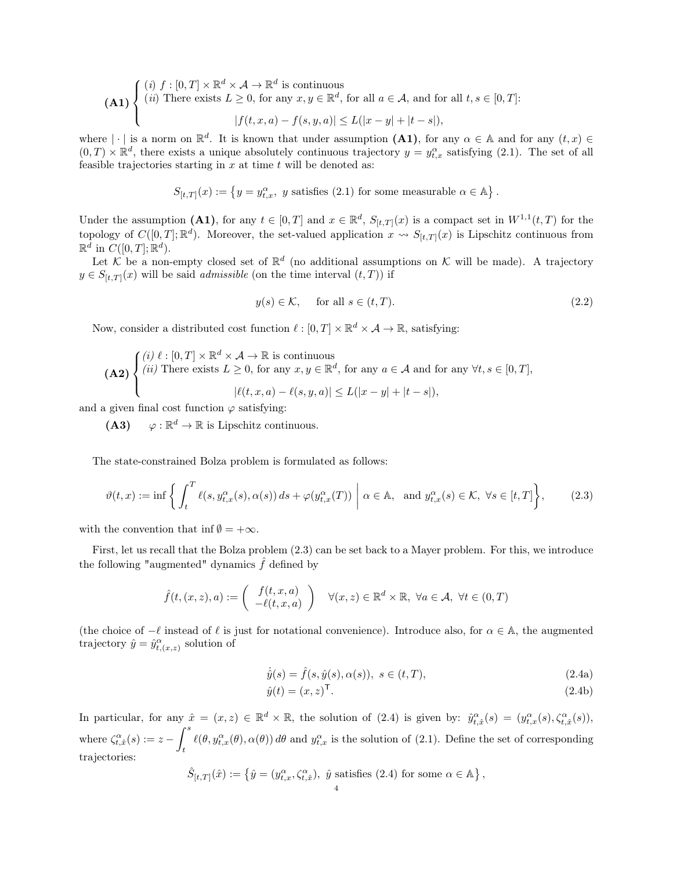$$
\textbf{(A1)}\n\begin{cases}\n(i) \ f:[0,T] \times \mathbb{R}^d \times \mathcal{A} \to \mathbb{R}^d \text{ is continuous} \\
(ii) \text{ There exists } L \ge 0, \text{ for any } x, y \in \mathbb{R}^d, \text{ for all } a \in \mathcal{A}, \text{ and for all } t, s \in [0,T]: \\
|f(t,x,a) - f(s,y,a)| \le L(|x-y| + |t-s|),\n\end{cases}
$$

where  $|\cdot|$  is a norm on  $\mathbb{R}^d$ . It is known that under assumption (A1), for any  $\alpha \in A$  and for any  $(t, x) \in A$  $(0,T) \times \mathbb{R}^d$ , there exists a unique absolutely continuous trajectory  $y = y_{t,x}^\alpha$  satisfying (2.1). The set of all feasible trajectories starting in  $x$  at time  $t$  will be denoted as:

$$
S_{[t,T]}(x):=\left\{y=y_{t,x}^{\alpha},\ y\ \text{satisfies}\ (2.1)\ \text{for some measurable}\ \alpha\in\mathbb{A}\right\}.
$$

Under the assumption (A1), for any  $t \in [0,T]$  and  $x \in \mathbb{R}^d$ ,  $S_{[t,T]}(x)$  is a compact set in  $W^{1,1}(t,T)$  for the topology of  $C([0,T];\mathbb{R}^d)$ . Moreover, the set-valued application  $x \leadsto S_{[t,T]}(x)$  is Lipschitz continuous from  $\mathbb{R}^d$  in  $C([0,T]; \mathbb{R}^d)$ .

Let K be a non-empty closed set of  $\mathbb{R}^d$  (no additional assumptions on K will be made). A trajectory  $y \in S_{[t,T]}(x)$  will be said *admissible* (on the time interval  $(t, T)$ ) if

$$
y(s) \in \mathcal{K}, \quad \text{ for all } s \in (t, T). \tag{2.2}
$$

Now, consider a distributed cost function  $\ell : [0, T] \times \mathbb{R}^d \times \mathcal{A} \to \mathbb{R}$ , satisfying:

$$
\textbf{(A2)} \begin{cases} (i) \ell : [0, T] \times \mathbb{R}^d \times \mathcal{A} \to \mathbb{R} \text{ is continuous} \\ (ii) \text{ There exists } L \ge 0, \text{ for any } x, y \in \mathbb{R}^d, \text{ for any } a \in \mathcal{A} \text{ and for any } \forall t, s \in [0, T], \\ |\ell(t, x, a) - \ell(s, y, a)| \le L(|x - y| + |t - s|), \end{cases}
$$

and a given final cost function  $\varphi$  satisfying:

 $(A3)$  $\varphi : \mathbb{R}^d \to \mathbb{R}$  is Lipschitz continuous.

The state-constrained Bolza problem is formulated as follows:

$$
\vartheta(t,x) := \inf \left\{ \int_t^T \ell(s, y_{t,x}^\alpha(s), \alpha(s)) \, ds + \varphi(y_{t,x}^\alpha(T)) \; \middle| \; \alpha \in \mathbb{A}, \text{ and } y_{t,x}^\alpha(s) \in \mathcal{K}, \; \forall s \in [t,T] \right\},\tag{2.3}
$$

with the convention that inf  $\emptyset = +\infty$ .

First, let us recall that the Bolza problem (2.3) can be set back to a Mayer problem. For this, we introduce the following "augmented" dynamics  $\hat{f}$  defined by

$$
\hat{f}(t,(x,z),a) := \begin{pmatrix} f(t,x,a) \\ -\ell(t,x,a) \end{pmatrix} \quad \forall (x,z) \in \mathbb{R}^d \times \mathbb{R}, \ \forall a \in \mathcal{A}, \ \forall t \in (0,T)
$$

(the choice of  $-\ell$  instead of  $\ell$  is just for notational convenience). Introduce also, for  $\alpha \in \mathbb{A}$ , the augmented trajectory  $\hat{y} = \hat{y}_{t,(x,z)}^{\alpha}$  solution of

$$
\dot{\hat{y}}(s) = \hat{f}(s, \hat{y}(s), \alpha(s)), \ s \in (t, T), \tag{2.4a}
$$

$$
\hat{y}(t) = (x, z)^{\mathsf{T}}.\tag{2.4b}
$$

In particular, for any  $\hat{x} = (x, z) \in \mathbb{R}^d \times \mathbb{R}$ , the solution of  $(2.4)$  is given by:  $\hat{y}_{t, \hat{x}}^{\alpha}(s) = (y_{t, x}^{\alpha}(s), \zeta_{t, \hat{x}}^{\alpha}(s)),$ where  $\zeta_{t,\hat{x}}^{\alpha}(s) := z - \int^s$ t  $\ell(\theta, y_{t,x}^{\alpha}(\theta), \alpha(\theta)) d\theta$  and  $y_{t,x}^{\alpha}$  is the solution of (2.1). Define the set of corresponding trajectories:

$$
\hat{S}_{[t,T]}(\hat{x}):=\left\{\hat{y}=(y_{t,x}^{\alpha},\zeta_{t,\hat{x}}^{\alpha}),\ \hat{y}\ \text{satisfies}\ (2.4)\ \text{for some}\ \alpha\in\mathbb{A}\right\},
$$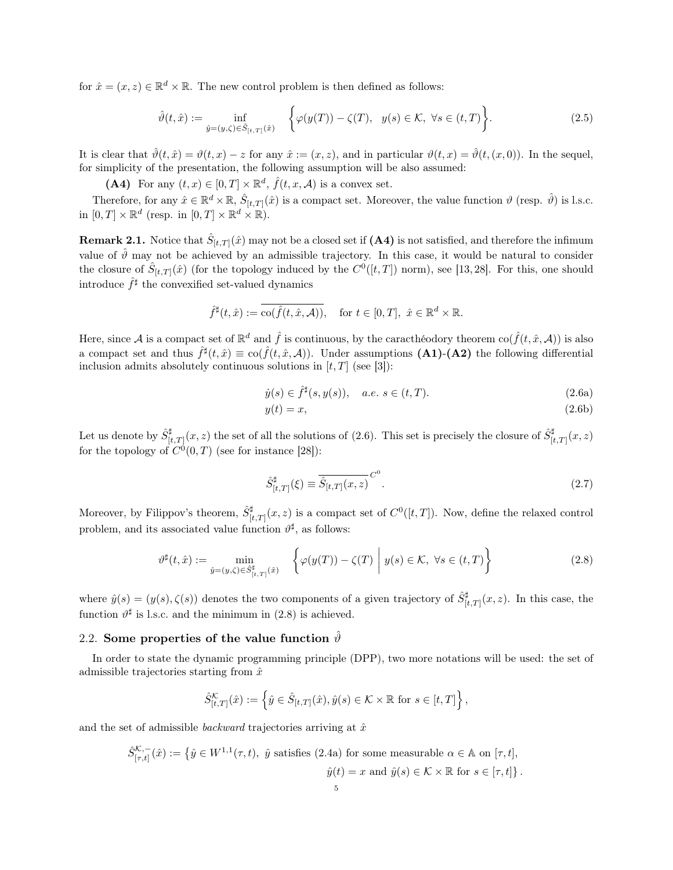for  $\hat{x} = (x, z) \in \mathbb{R}^d \times \mathbb{R}$ . The new control problem is then defined as follows:

$$
\hat{\vartheta}(t,\hat{x}) := \inf_{\hat{y}=(y,\zeta)\in\hat{S}_{[t,T]}(\hat{x})} \quad \left\{ \varphi(y(T)) - \zeta(T), \quad y(s) \in \mathcal{K}, \ \forall s \in (t,T) \right\}.
$$
\n(2.5)

It is clear that  $\hat{\vartheta}(t, \hat{x}) = \vartheta(t, x) - z$  for any  $\hat{x} := (x, z)$ , and in particular  $\vartheta(t, x) = \hat{\vartheta}(t, (x, 0))$ . In the sequel, for simplicity of the presentation, the following assumption will be also assumed:

(A4) For any  $(t, x) \in [0, T] \times \mathbb{R}^d$ ,  $\hat{f}(t, x, \mathcal{A})$  is a convex set.

Therefore, for any  $\hat{x} \in \mathbb{R}^d \times \mathbb{R}$ ,  $\hat{S}_{[t,T]}(\hat{x})$  is a compact set. Moreover, the value function  $\vartheta$  (resp.  $\hat{\vartheta}$ ) is l.s.c. in  $[0, T] \times \mathbb{R}^d$  (resp. in  $[0, T] \times \mathbb{R}^d \times \mathbb{R}$ ).

**Remark 2.1.** Notice that  $\hat{S}_{[t,T]}(\hat{x})$  may not be a closed set if  $(A4)$  is not satisfied, and therefore the infimum value of  $\hat{\theta}$  may not be achieved by an admissible trajectory. In this case, it would be natural to consider the closure of  $\hat{S}_{[t,T]}(\hat{x})$  (for the topology induced by the  $C^0([t,T])$  norm), see [13, 28]. For this, one should introduce  $\hat{f}^{\sharp}$  the convexified set-valued dynamics

$$
\hat{f}^{\sharp}(t,\hat{x}) := \overline{\text{co}(\hat{f}(t,\hat{x},\mathcal{A}))}, \quad \text{for } t \in [0,T], \ \hat{x} \in \mathbb{R}^d \times \mathbb{R}.
$$

Here, since A is a compact set of  $\mathbb{R}^d$  and  $\hat{f}$  is continuous, by the caracthéodory theorem  $\text{co}(\hat{f}(t,\hat{x},\mathcal{A}))$  is also a compact set and thus  $\hat{f}^{\sharp}(t,\hat{x}) \equiv \text{co}(\hat{f}(t,\hat{x},\mathcal{A}))$ . Under assumptions (A1)-(A2) the following differential inclusion admits absolutely continuous solutions in  $[t, T]$  (see [3]):

$$
\dot{y}(s) \in \hat{f}^{\sharp}(s, y(s)), \quad a.e. \ s \in (t, T). \tag{2.6a}
$$

$$
y(t) = x,\tag{2.6b}
$$

Let us denote by  $\hat{S}^{\sharp}_{[t,T]}(x,z)$  the set of all the solutions of (2.6). This set is precisely the closure of  $\hat{S}^{\sharp}_{[t,T]}(x,z)$ for the topology of  $C^0(0,T)$  (see for instance [28]):

$$
\hat{S}_{[t,T]}^{\sharp}(\xi) \equiv \overline{\hat{S}_{[t,T]}(x,z)}^{C^0}.
$$
\n(2.7)

Moreover, by Filippov's theorem,  $\hat{S}_{[t,T]}^{\sharp}(x,z)$  is a compact set of  $C^{0}([t,T])$ . Now, define the relaxed control problem, and its associated value function  $\vartheta^{\sharp}$ , as follows:

$$
\vartheta^{\sharp}(t,\hat{x}) := \min_{\hat{y}=(y,\zeta)\in\hat{S}^{\sharp}_{[t,T]}(\hat{x})} \quad \left\{ \varphi(y(T)) - \zeta(T) \middle| \ g(s) \in \mathcal{K}, \ \forall s \in (t,T) \right\} \tag{2.8}
$$

where  $\hat{y}(s) = (y(s), \zeta(s))$  denotes the two components of a given trajectory of  $\hat{S}^{\sharp}_{[t,T]}(x, z)$ . In this case, the function  $\vartheta^{\sharp}$  is l.s.c. and the minimum in (2.8) is achieved.

# 2.2. Some properties of the value function  $\hat{\vartheta}$

In order to state the dynamic programming principle (DPP), two more notations will be used: the set of admissible trajectories starting from  $\hat{x}$ 

$$
\hat{S}_{[t,T]}^{\mathcal{K}}(\hat{x}) := \left\{ \hat{y} \in \hat{S}_{[t,T]}(\hat{x}), \hat{y}(s) \in \mathcal{K} \times \mathbb{R} \text{ for } s \in [t,T] \right\},\
$$

and the set of admissible *backward* trajectories arriving at  $\hat{x}$ 

$$
\hat{S}_{[\tau,t]}^{K,-}(\hat{x}) := \left\{ \hat{y} \in W^{1,1}(\tau,t), \ \hat{y} \text{ satisfies (2.4a) for some measurable } \alpha \in \mathbb{A} \text{ on } [\tau,t], \right.
$$

$$
\hat{y}(t) = x \text{ and } \hat{y}(s) \in \mathcal{K} \times \mathbb{R} \text{ for } s \in [\tau,t] \right\}.
$$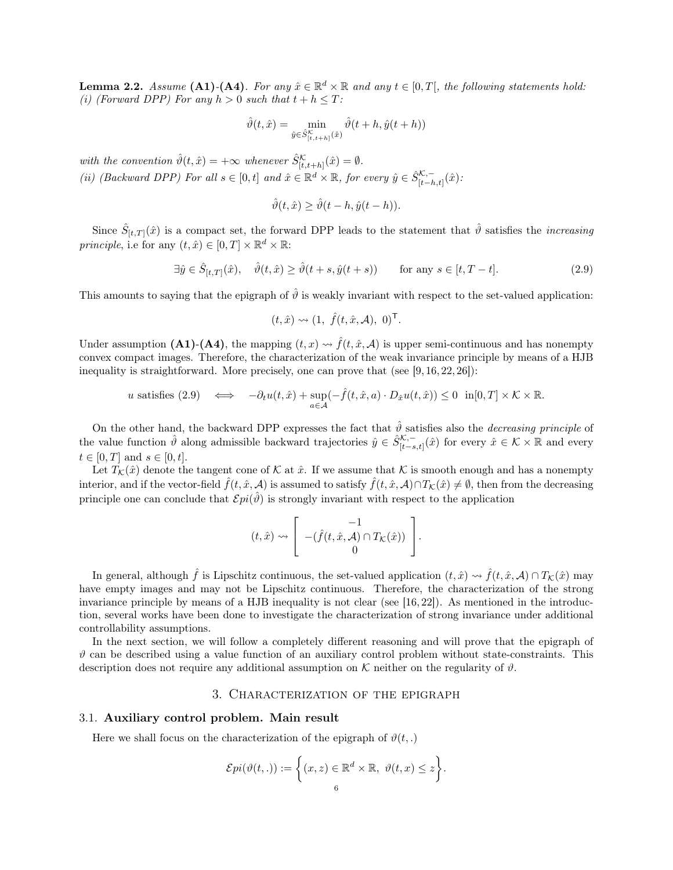**Lemma 2.2.** Assume (A1)-(A4). For any  $\hat{x} \in \mathbb{R}^d \times \mathbb{R}$  and any  $t \in [0,T]$ , the following statements hold: (i) (Forward DPP) For any  $h > 0$  such that  $t + h \leq T$ :

$$
\hat{\vartheta}(t,\hat{x}) = \min_{\hat{y} \in \hat{S}^{\mathcal{K}}_{[t,t+h]}(\hat{x})} \hat{\vartheta}(t+h, \hat{y}(t+h))
$$

with the convention  $\hat{\vartheta}(t,\hat{x}) = +\infty$  whenever  $\hat{S}_{[t,t+h]}^{\mathcal{K}}(\hat{x}) = \emptyset$ . (ii) (Backward DPP) For all  $s \in [0, t]$  and  $\hat{x} \in \mathbb{R}^d \times \mathbb{R}$ , for every  $\hat{y} \in \hat{S}_{[t-h,t]}^{K,-}(\hat{x})$ :

$$
\hat{\vartheta}(t,\hat{x}) \ge \hat{\vartheta}(t-h,\hat{y}(t-h)).
$$

Since  $\hat{S}_{[t,T]}(\hat{x})$  is a compact set, the forward DPP leads to the statement that  $\hat{\vartheta}$  satisfies the *increasing* principle, i.e for any  $(t, \hat{x}) \in [0, T] \times \mathbb{R}^d \times \mathbb{R}$ :

$$
\exists \hat{y} \in \hat{S}_{[t,T]}(\hat{x}), \quad \hat{\vartheta}(t,\hat{x}) \ge \hat{\vartheta}(t+s, \hat{y}(t+s)) \qquad \text{for any } s \in [t, T-t]. \tag{2.9}
$$

This amounts to saying that the epigraph of  $\hat{\theta}$  is weakly invariant with respect to the set-valued application:

$$
(t, \hat{x}) \rightsquigarrow (1, \hat{f}(t, \hat{x}, \mathcal{A}), 0)^{\mathsf{T}}.
$$

Under assumption (A1)-(A4), the mapping  $(t, x) \rightsquigarrow \hat{f}(t, \hat{x}, \mathcal{A})$  is upper semi-continuous and has nonempty convex compact images. Therefore, the characterization of the weak invariance principle by means of a HJB inequality is straightforward. More precisely, one can prove that (see  $[9, 16, 22, 26]$ ):

*u* satisfies (2.9) 
$$
\iff
$$
  $-\partial_t u(t, \hat{x}) + \sup_{a \in \mathcal{A}} (-\hat{f}(t, \hat{x}, a) \cdot D_{\hat{x}} u(t, \hat{x})) \leq 0 \quad \text{in}[0, T] \times \mathcal{K} \times \mathbb{R}.$ 

On the other hand, the backward DPP expresses the fact that  $\hat{\theta}$  satisfies also the *decreasing principle* of the value function  $\hat{\vartheta}$  along admissible backward trajectories  $\hat{y} \in \hat{S}_{[t-s,t]}^{{\mathcal{K},-}}(\hat{x})$  for every  $\hat{x} \in \mathcal{K} \times \mathbb{R}$  and every  $t \in [0, T]$  and  $s \in [0, t]$ .

Let  $T_K(\hat{x})$  denote the tangent cone of K at  $\hat{x}$ . If we assume that K is smooth enough and has a nonempty interior, and if the vector-field  $\hat{f}(t, \hat{x}, \mathcal{A})$  is assumed to satisfy  $\hat{f}(t, \hat{x}, \mathcal{A}) \cap T_K(\hat{x}) \neq \emptyset$ , then from the decreasing principle one can conclude that  $\mathcal{E}pi(\hat{\theta})$  is strongly invariant with respect to the application

$$
(t, \hat{x}) \rightsquigarrow \begin{bmatrix} -1 \\ -(\hat{f}(t, \hat{x}, \mathcal{A}) \cap T_{\mathcal{K}}(\hat{x})) \\ 0 \end{bmatrix}.
$$

In general, although  $\hat{f}$  is Lipschitz continuous, the set-valued application  $(t, \hat{x}) \leadsto \hat{f}(t, \hat{x}, \mathcal{A}) \cap T_{\mathcal{K}}(\hat{x})$  may have empty images and may not be Lipschitz continuous. Therefore, the characterization of the strong invariance principle by means of a HJB inequality is not clear (see [16, 22]). As mentioned in the introduction, several works have been done to investigate the characterization of strong invariance under additional controllability assumptions.

In the next section, we will follow a completely different reasoning and will prove that the epigraph of  $\vartheta$  can be described using a value function of an auxiliary control problem without state-constraints. This description does not require any additional assumption on K neither on the regularity of  $\vartheta$ .

# 3. Characterization of the epigraph

#### 3.1. Auxiliary control problem. Main result

Here we shall focus on the characterization of the epigraph of  $\vartheta(t,.)$ 

$$
\mathcal{E}pi(\vartheta(t,.)) := \left\{ (x,z) \in \mathbb{R}^d \times \mathbb{R}, \ \vartheta(t,x) \leq z \right\}.
$$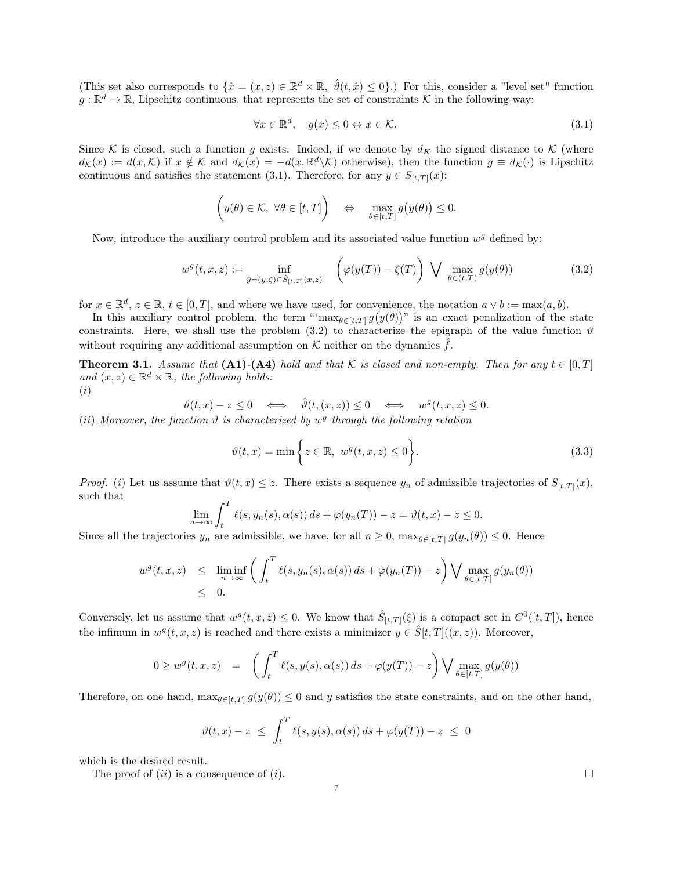(This set also corresponds to  $\{\hat{x} = (x, z) \in \mathbb{R}^d \times \mathbb{R}, \ \hat{\vartheta}(t, \hat{x}) \leq 0\}$ .) For this, consider a "level set" function  $g: \mathbb{R}^d \to \mathbb{R}$ , Lipschitz continuous, that represents the set of constraints K in the following way:

$$
\forall x \in \mathbb{R}^d, \quad g(x) \le 0 \Leftrightarrow x \in \mathcal{K}.\tag{3.1}
$$

Since K is closed, such a function g exists. Indeed, if we denote by  $d_K$  the signed distance to K (where  $d_{\mathcal{K}}(x) := d(x,\mathcal{K})$  if  $x \notin \mathcal{K}$  and  $d_{\mathcal{K}}(x) = -d(x,\mathbb{R}^d\backslash\mathcal{K})$  otherwise), then the function  $g \equiv d_{\mathcal{K}}(\cdot)$  is Lipschitz continuous and satisfies the statement (3.1). Therefore, for any  $y \in S_{[t,T]}(x)$ :

$$
\left(y(\theta)\in\mathcal{K},\ \forall\theta\in[t,T]\right)\quad\Leftrightarrow\quad\max_{\theta\in[t,T]}g\big(y(\theta)\big)\leq0.
$$

Now, introduce the auxiliary control problem and its associated value function  $w<sup>g</sup>$  defined by:

$$
w^{g}(t,x,z) := \inf_{\hat{y}=(y,\zeta)\in\hat{S}_{[t,T]}(x,z)} \left(\varphi(y(T)) - \zeta(T)\right) \bigvee \max_{\theta\in(t,T)} g(y(\theta))
$$
\n(3.2)

for  $x \in \mathbb{R}^d$ ,  $z \in \mathbb{R}$ ,  $t \in [0, T]$ , and where we have used, for convenience, the notation  $a \vee b := \max(a, b)$ .

In this auxiliary control problem, the term "'max $_{\theta \in [t,T]} g(y(\theta))^n$  is an exact penalization of the state constraints. Here, we shall use the problem (3.2) to characterize the epigraph of the value function  $\vartheta$ without requiring any additional assumption on  $K$  neither on the dynamics  $\hat{f}$ .

**Theorem 3.1.** Assume that  $(A1)-(A4)$  hold and that K is closed and non-empty. Then for any  $t \in [0, T]$ and  $(x, z) \in \mathbb{R}^d \times \mathbb{R}$ , the following holds: (i)

$$
\vartheta(t,x)-z\leq 0\quad\Longleftrightarrow\quad \hat{\vartheta}(t,(x,z))\leq 0\quad\Longleftrightarrow\quad w^g(t,x,z)\leq 0.
$$

(ii) Moreover, the function  $\vartheta$  is characterized by  $w^g$  through the following relation

$$
\vartheta(t,x) = \min\left\{z \in \mathbb{R}, \ w^g(t,x,z) \le 0\right\}.
$$
\n(3.3)

*Proof.* (i) Let us assume that  $\vartheta(t, x) \leq z$ . There exists a sequence  $y_n$  of admissible trajectories of  $S_{[t,T]}(x)$ , such that

$$
\lim_{n \to \infty} \int_t^T \ell(s, y_n(s), \alpha(s)) ds + \varphi(y_n(T)) - z = \vartheta(t, x) - z \le 0.
$$

Since all the trajectories  $y_n$  are admissible, we have, for all  $n \geq 0$ ,  $\max_{\theta \in [t,T]} g(y_n(\theta)) \leq 0$ . Hence

$$
w^{g}(t,x,z) \leq \liminf_{n \to \infty} \left( \int_{t}^{T} \ell(s,y_{n}(s),\alpha(s)) ds + \varphi(y_{n}(T)) - z \right) \bigvee \max_{\theta \in [t,T]} g(y_{n}(\theta))
$$
  
  $\leq 0.$ 

Conversely, let us assume that  $w^g(t, x, z) \leq 0$ . We know that  $\hat{S}_{[t,T]}(\xi)$  is a compact set in  $C^0([t,T])$ , hence the infimum in  $w^{g}(t, x, z)$  is reached and there exists a minimizer  $y \in \hat{S}[t, T]((x, z))$ . Moreover,

$$
0 \geq w^g(t, x, z) = \left( \int_t^T \ell(s, y(s), \alpha(s)) ds + \varphi(y(T)) - z \right) \bigvee \max_{\theta \in [t, T]} g(y(\theta))
$$

Therefore, on one hand,  $\max_{\theta \in [t,T]} g(y(\theta)) \leq 0$  and y satisfies the state constraints, and on the other hand,

$$
\vartheta(t,x)-z \ \leq \ \int_t^T \ell(s,y(s),\alpha(s))\,ds + \varphi(y(T)) - z \ \leq \ 0
$$

which is the desired result.

The proof of  $(ii)$  is a consequence of  $(i)$ .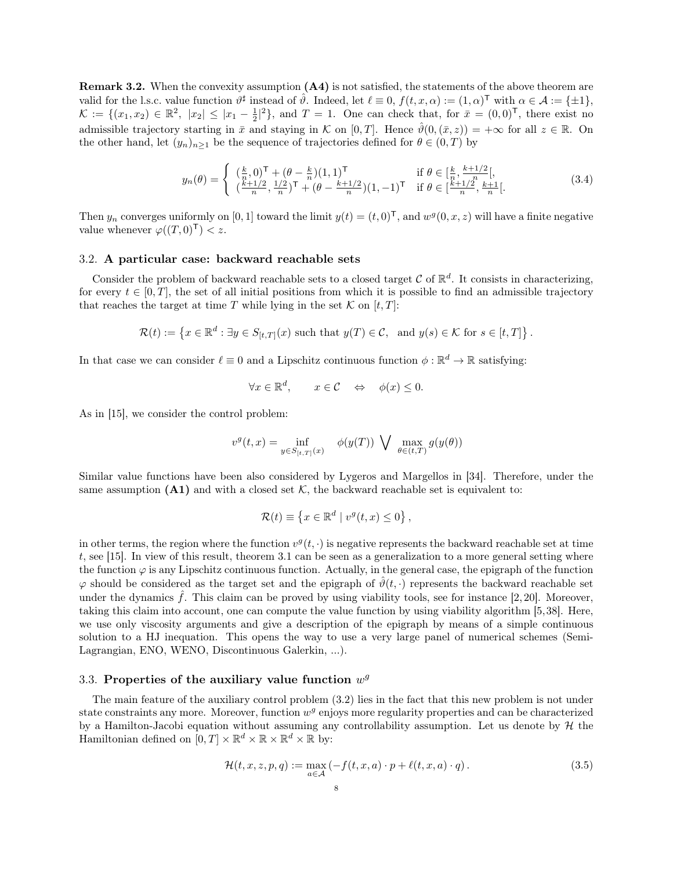Remark 3.2. When the convexity assumption (A4) is not satisfied, the statements of the above theorem are valid for the l.s.c. value function  $\vartheta^{\sharp}$  instead of  $\hat{\vartheta}$ . Indeed, let  $\ell \equiv 0$ ,  $f(t, x, \alpha) := (1, \alpha)^{\mathsf{T}}$  with  $\alpha \in \mathcal{A} := \{\pm 1\}$ ,  $\mathcal{K} := \{ (x_1, x_2) \in \mathbb{R}^2, |x_2| \leq |x_1 - \frac{1}{2}|^2 \},\$ and  $T = 1$ . One can check that, for  $\bar{x} = (0, 0)^T$ , there exist no admissible trajectory starting in  $\bar{x}$  and staying in K on [0, T]. Hence  $\hat{\theta}(0,(\bar{x},z)) = +\infty$  for all  $z \in \mathbb{R}$ . On the other hand, let  $(y_n)_{n\geq 1}$  be the sequence of trajectories defined for  $\theta \in (0,T)$  by

$$
y_n(\theta) = \begin{cases} \left(\frac{k}{n}, 0\right)^{\mathsf{T}} + \left(\theta - \frac{k}{n}\right)(1, 1)^{\mathsf{T}} & \text{if } \theta \in \left[\frac{k}{n}, \frac{k+1/2}{n}\right[,\\ \left(\frac{k+1/2}{n}, \frac{1/2}{n}\right)^{\mathsf{T}} + \left(\theta - \frac{k+1/2}{n}\right)(1, -1)^{\mathsf{T}} & \text{if } \theta \in \left[\frac{k+1/2}{n}, \frac{k+1}{n}\right[.\end{cases} \tag{3.4}
$$

.

Then  $y_n$  converges uniformly on [0, 1] toward the limit  $y(t) = (t, 0)^{\mathsf{T}}$ , and  $w^g(0, x, z)$  will have a finite negative value whenever  $\varphi((T,0)^{\mathsf{T}}) < z$ .

## 3.2. A particular case: backward reachable sets

Consider the problem of backward reachable sets to a closed target  $\mathcal C$  of  $\mathbb R^d$ . It consists in characterizing, for every  $t \in [0, T]$ , the set of all initial positions from which it is possible to find an admissible trajectory that reaches the target at time T while lying in the set  $K$  on  $[t, T]$ :

$$
\mathcal{R}(t) := \left\{ x \in \mathbb{R}^d : \exists y \in S_{[t,T]}(x) \text{ such that } y(T) \in \mathcal{C}, \text{ and } y(s) \in \mathcal{K} \text{ for } s \in [t,T] \right\}
$$

In that case we can consider  $\ell \equiv 0$  and a Lipschitz continuous function  $\phi : \mathbb{R}^d \to \mathbb{R}$  satisfying:

$$
\forall x \in \mathbb{R}^d, \qquad x \in \mathcal{C} \quad \Leftrightarrow \quad \phi(x) \le 0.
$$

As in [15], we consider the control problem:

$$
v^g(t,x) = \inf_{y \in S_{[t,T]}(x)} \phi(y(T)) \bigvee \max_{\theta \in (t,T)} g(y(\theta))
$$

Similar value functions have been also considered by Lygeros and Margellos in [34]. Therefore, under the same assumption  $(A1)$  and with a closed set K, the backward reachable set is equivalent to:

$$
\mathcal{R}(t) \equiv \{x \in \mathbb{R}^d \mid v^g(t, x) \le 0\},\
$$

in other terms, the region where the function  $v^g(t, \cdot)$  is negative represents the backward reachable set at time t, see [15]. In view of this result, theorem 3.1 can be seen as a generalization to a more general setting where the function  $\varphi$  is any Lipschitz continuous function. Actually, in the general case, the epigraph of the function  $\varphi$  should be considered as the target set and the epigraph of  $\hat{\vartheta}(t, \cdot)$  represents the backward reachable set under the dynamics  $\hat{f}$ . This claim can be proved by using viability tools, see for instance [2, 20]. Moreover, taking this claim into account, one can compute the value function by using viability algorithm [5,38]. Here, we use only viscosity arguments and give a description of the epigraph by means of a simple continuous solution to a HJ inequation. This opens the way to use a very large panel of numerical schemes (Semi-Lagrangian, ENO, WENO, Discontinuous Galerkin, ...).

# 3.3. Properties of the auxiliary value function  $w^g$

The main feature of the auxiliary control problem (3.2) lies in the fact that this new problem is not under state constraints any more. Moreover, function  $w^g$  enjoys more regularity properties and can be characterized by a Hamilton-Jacobi equation without assuming any controllability assumption. Let us denote by  $\mathcal H$  the Hamiltonian defined on  $[0, T] \times \mathbb{R}^d \times \mathbb{R} \times \mathbb{R}^d \times \mathbb{R}$  by:

$$
\mathcal{H}(t,x,z,p,q) := \max_{a \in \mathcal{A}} \left( -f(t,x,a) \cdot p + \ell(t,x,a) \cdot q \right). \tag{3.5}
$$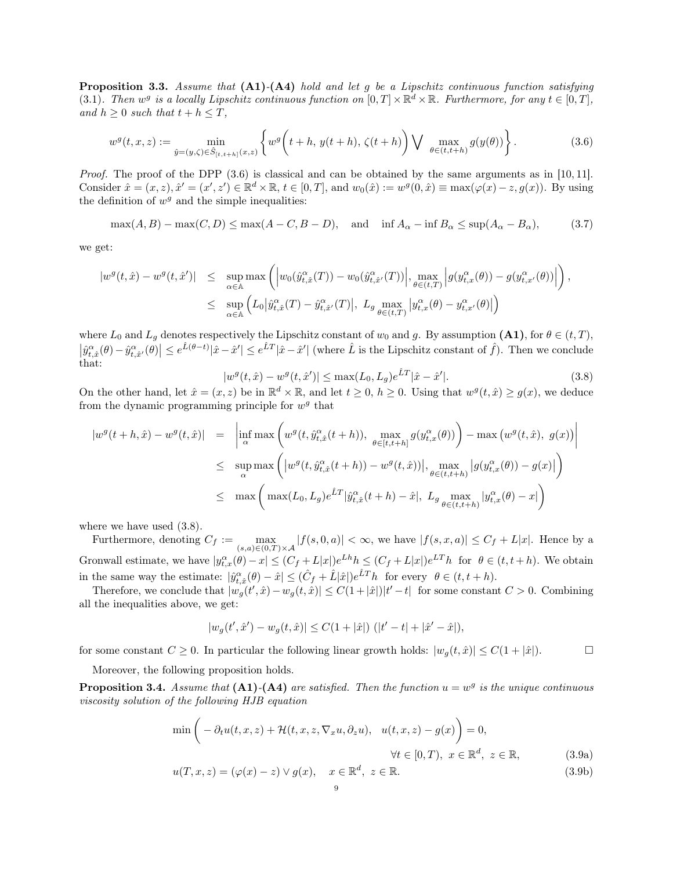**Proposition 3.3.** Assume that  $(A1)-(A4)$  hold and let g be a Lipschitz continuous function satisfying (3.1). Then  $w^g$  is a locally Lipschitz continuous function on  $[0,T] \times \mathbb{R}^d \times \mathbb{R}$ . Furthermore, for any  $t \in [0,T]$ , and  $h \geq 0$  such that  $t + h \leq T$ ,

$$
w^{g}(t,x,z) := \min_{\hat{y}=(y,\zeta)\in\hat{S}_{[t,t+h]}(x,z)} \left\{ w^{g}\left(t+h, y(t+h), \zeta(t+h)\right) \bigvee \max_{\theta\in(t,t+h)} g(y(\theta)) \right\}.
$$
 (3.6)

*Proof.* The proof of the DPP  $(3.6)$  is classical and can be obtained by the same arguments as in [10, 11]. Consider  $\hat{x} = (x, z), \hat{x}' = (x', z') \in \mathbb{R}^d \times \mathbb{R}, t \in [0, T],$  and  $w_0(\hat{x}) := w^g(0, \hat{x}) \equiv \max(\varphi(x) - z, g(x))$ . By using the definition of  $w^g$  and the simple inequalities:

 $\max(A, B) - \max(C, D) \le \max(A - C, B - D)$ , and  $\inf A_\alpha - \inf B_\alpha \le \sup(A_\alpha - B_\alpha)$ , (3.7)

we get:

$$
\begin{array}{rcl} |w^g(t,\hat{x})-w^g(t,\hat{x}')| & \leq & \sup_{\alpha\in\mathbb{A}}\max\left( \left|w_0(\hat{y}_{t,\hat{x}}^{\alpha}(T))-w_0(\hat{y}_{t,\hat{x}'}^{\alpha}(T))\right|, \max_{\theta\in(t,T)} \left|g(y_{t,x}^{\alpha}(\theta))-g(y_{t,x'}^{\alpha}(\theta))\right|\right),\\ & \leq & \sup_{\alpha\in\mathbb{A}} \left( L_0 \left|\hat{y}_{t,\hat{x}}^{\alpha}(T)-\hat{y}_{t,\hat{x}'}^{\alpha}(T)\right|, \; L_{g} \max_{\theta\in(t,T)} \left|y_{t,x}^{\alpha}(\theta)-y_{t,x'}^{\alpha}(\theta)\right|\right) \end{array}
$$

where  $L_0$  and  $L_g$  denotes respectively the Lipschitz constant of  $w_0$  and g. By assumption  $(A1)$ , for  $\theta \in (t, T)$ ,  $\left|\hat{y}^{\alpha}_{t,\hat{x}}(\theta) - \hat{y}^{\alpha}_{t,\hat{x}'}(\theta)\right| \leq e^{\hat{L}(\theta-t)}|\hat{x}-\hat{x}'| \leq e^{\hat{L}T}|\hat{x}-\hat{x}'|$  (where  $\hat{L}$  is the Lipschitz constant of  $\hat{f}$ ). Then we conclude that:

$$
|w^{g}(t,\hat{x}) - w^{g}(t,\hat{x}')| \le \max(L_0, L_g)e^{\hat{L}T}|\hat{x} - \hat{x}'|.
$$
\n(3.8)

On the other hand, let  $\hat{x} = (x, z)$  be in  $\mathbb{R}^d \times \mathbb{R}$ , and let  $t \geq 0$ ,  $h \geq 0$ . Using that  $w^g(t, \hat{x}) \geq g(x)$ , we deduce from the dynamic programming principle for  $w^g$  that

$$
\begin{array}{rcl}\n|w^{g}(t+h,\hat{x}) - w^{g}(t,\hat{x})| & = & \left| \inf_{\alpha} \max \left( w^{g}(t,\hat{y}_{t,\hat{x}}^{\alpha}(t+h)), \max_{\theta \in [t,t+h]} g(y_{t,x}^{\alpha}(\theta)) \right) - \max \left( w^{g}(t,\hat{x}), g(x) \right) \right| \\
&\leq & \sup_{\alpha} \max \left( \left| w^{g}(t,\hat{y}_{t,\hat{x}}^{\alpha}(t+h)) - w^{g}(t,\hat{x}) \right|, \max_{\theta \in (t,t+h)} \left| g(y_{t,x}^{\alpha}(\theta)) - g(x) \right| \right) \\
&\leq & \max \left( \max(L_0, L_g) e^{\hat{L}T} |\hat{y}_{t,\hat{x}}^{\alpha}(t+h) - \hat{x}|, L_g \max_{\theta \in (t,t+h)} \left| y_{t,x}^{\alpha}(\theta) - x \right| \right)\n\end{array}
$$

where we have used  $(3.8)$ .

Furthermore, denoting  $C_f := \max_{(s,a) \in (0,T) \times \mathcal{A}} |f(s,0,a)| < \infty$ , we have  $|f(s,x,a)| \leq C_f + L|x|$ . Hence by a Gronwall estimate, we have  $|y_{t,x}^{\alpha}(\theta) - x| \le (C_f + L|x|)e^{Lh}h \le (C_f + L|x|)e^{LT}h$  for  $\theta \in (t, t + h)$ . We obtain in the same way the estimate:  $|\hat{y}_{t,\hat{x}}^{\alpha}(\theta) - \hat{x}| \leq (\hat{C}_f + \hat{L}|\hat{x}|)e^{\hat{L}T}h$  for every  $\theta \in (t, t + h)$ .

Therefore, we conclude that  $|w_g(t', \hat{x}) - w_g(t, \hat{x})| \leq C(1+|\hat{x}|)|t'-t|$  for some constant  $C > 0$ . Combining all the inequalities above, we get:

$$
|w_g(t',\hat{x}') - w_g(t,\hat{x})| \leq C(1+|\hat{x}|) \ (|t'-t| + |\hat{x}' - \hat{x}|),
$$

for some constant  $C \geq 0$ . In particular the following linear growth holds:  $|w_q(t, \hat{x})| \leq C(1 + |\hat{x}|)$ .

Moreover, the following proposition holds.

**Proposition 3.4.** Assume that  $(A1)$ - $(A4)$  are satisfied. Then the function  $u = w<sup>g</sup>$  is the unique continuous viscosity solution of the following HJB equation

$$
\min\left(-\partial_t u(t, x, z) + \mathcal{H}(t, x, z, \nabla_x u, \partial_z u), \quad u(t, x, z) - g(x)\right) = 0,
$$
  

$$
\forall t \in [0, T), \quad x \in \mathbb{R}^d, \quad z \in \mathbb{R},
$$
(3.9a)  

$$
u(T, x, z) = (\varphi(x) - z) \lor g(x), \quad x \in \mathbb{R}^d, \quad z \in \mathbb{R}.
$$
(3.9b)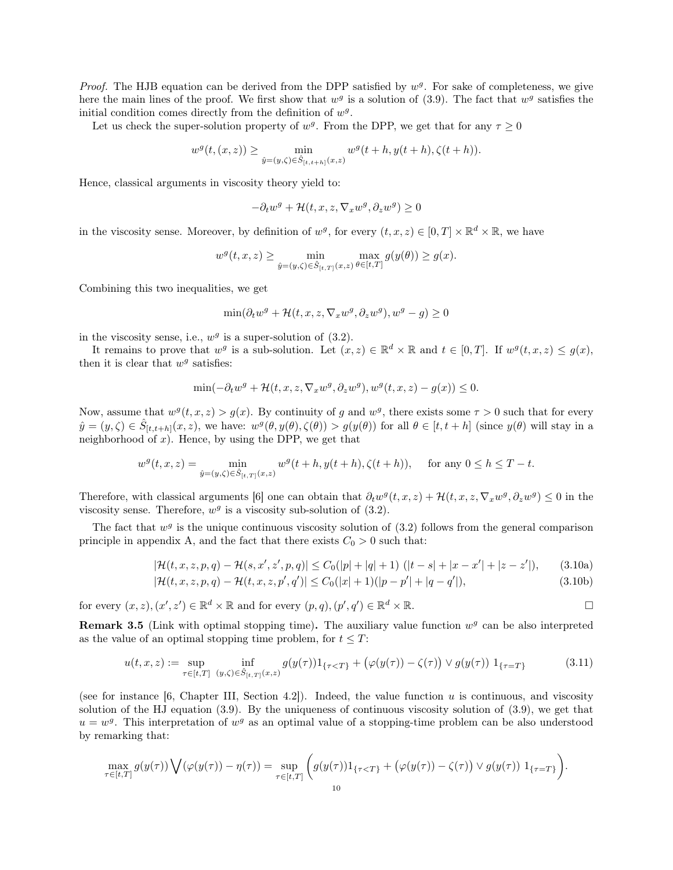*Proof.* The HJB equation can be derived from the DPP satisfied by  $w<sup>g</sup>$ . For sake of completeness, we give here the main lines of the proof. We first show that  $w<sup>g</sup>$  is a solution of (3.9). The fact that  $w<sup>g</sup>$  satisfies the initial condition comes directly from the definition of  $w<sup>g</sup>$ .

Let us check the super-solution property of  $w^g$ . From the DPP, we get that for any  $\tau \geq 0$ 

$$
w^{g}(t,(x,z)) \geq \min_{\hat{y}=(y,\zeta)\in \hat{S}_{[t,t+h]}(x,z)} w^{g}(t+h,y(t+h),\zeta(t+h)).
$$

Hence, classical arguments in viscosity theory yield to:

$$
-\partial_t w^g + \mathcal{H}(t, x, z, \nabla_x w^g, \partial_z w^g) \ge 0
$$

in the viscosity sense. Moreover, by definition of  $w^g$ , for every  $(t, x, z) \in [0, T] \times \mathbb{R}^d \times \mathbb{R}$ , we have

$$
w^{g}(t, x, z) \geq \min_{\hat{y}=(y,\zeta)\in \hat{S}_{[t,T]}(x,z)} \max_{\theta\in[t,T]} g(y(\theta)) \geq g(x).
$$

Combining this two inequalities, we get

$$
\min(\partial_t w^g + \mathcal{H}(t, x, z, \nabla_x w^g, \partial_z w^g), w^g - g) \ge 0
$$

in the viscosity sense, i.e.,  $w^g$  is a super-solution of  $(3.2)$ .

It remains to prove that  $w^g$  is a sub-solution. Let  $(x, z) \in \mathbb{R}^d \times \mathbb{R}$  and  $t \in [0, T]$ . If  $w^g(t, x, z) \leq g(x)$ , then it is clear that  $w^g$  satisfies:

$$
\min(-\partial_t w^g + \mathcal{H}(t, x, z, \nabla_x w^g, \partial_z w^g), w^g(t, x, z) - g(x)) \le 0.
$$

Now, assume that  $w^g(t, x, z) > g(x)$ . By continuity of g and  $w^g$ , there exists some  $\tau > 0$  such that for every  $\hat{y} = (y, \zeta) \in \hat{S}_{[t,t+h]}(x, z)$ , we have:  $w^{g}(\theta, y(\theta), \zeta(\theta)) > g(y(\theta))$  for all  $\theta \in [t, t+h]$  (since  $y(\theta)$  will stay in a neighborhood of  $x$ ). Hence, by using the DPP, we get that

$$
w^g(t,x,z)=\min_{\hat y=(y,\zeta)\in \hat S_{[t,T]}(x,z)}w^g(t+h,y(t+h),\zeta(t+h)),\quad \text{ for any }0\leq h\leq T-t.
$$

Therefore, with classical arguments [6] one can obtain that  $\partial_t w^g(t, x, z) + \mathcal{H}(t, x, z, \nabla_x w^g, \partial_z w^g) \leq 0$  in the viscosity sense. Therefore,  $w^g$  is a viscosity sub-solution of  $(3.2)$ .

The fact that  $w<sup>g</sup>$  is the unique continuous viscosity solution of (3.2) follows from the general comparison principle in appendix A, and the fact that there exists  $C_0 > 0$  such that:

$$
|\mathcal{H}(t,x,z,p,q) - \mathcal{H}(s,x',z',p,q)| \leq C_0(|p|+|q|+1) \ (|t-s|+|x-x'|+|z-z'|), \qquad (3.10a)
$$

$$
|\mathcal{H}(t,x,z,p,q) - \mathcal{H}(t,x,z,p',q')| \le C_0(|x|+1)(|p-p'|+|q-q'|),\tag{3.10b}
$$

for every  $(x, z), (x', z') \in \mathbb{R}^d \times \mathbb{R}$  and for every  $(p, q), (p', q') \in \mathbb{R}^d \times \mathbb{R}$ .

**Remark 3.5** (Link with optimal stopping time). The auxiliary value function  $w<sup>g</sup>$  can be also interpreted as the value of an optimal stopping time problem, for  $t \leq T$ :

$$
u(t,x,z) := \sup_{\tau \in [t,T]} \inf_{(y,\zeta) \in \hat{S}_{[t,T]}(x,z)} g(y(\tau)) 1_{\{\tau < T\}} + \left( \varphi(y(\tau)) - \zeta(\tau) \right) \vee g(y(\tau)) 1_{\{\tau = T\}} \tag{3.11}
$$

(see for instance [6, Chapter III, Section 4.2]). Indeed, the value function u is continuous, and viscosity solution of the HJ equation (3.9). By the uniqueness of continuous viscosity solution of (3.9), we get that  $u = w<sup>g</sup>$ . This interpretation of  $w<sup>g</sup>$  as an optimal value of a stopping-time problem can be also understood by remarking that:

$$
\max_{\tau \in [t,T]} g(y(\tau)) \bigvee (\varphi(y(\tau)) - \eta(\tau)) = \sup_{\tau \in [t,T]} \bigg( g(y(\tau)) 1_{\{\tau < T\}} + \big( \varphi(y(\tau)) - \zeta(\tau) \big) \vee g(y(\tau)) 1_{\{\tau = T\}} \bigg).
$$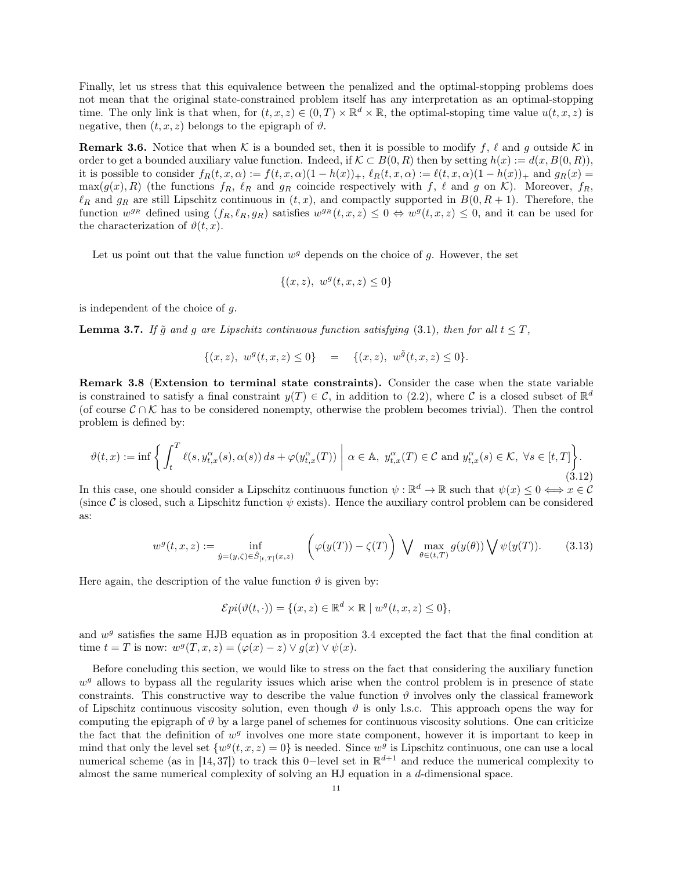Finally, let us stress that this equivalence between the penalized and the optimal-stopping problems does not mean that the original state-constrained problem itself has any interpretation as an optimal-stopping time. The only link is that when, for  $(t, x, z) \in (0, T) \times \mathbb{R}^d \times \mathbb{R}$ , the optimal-stoping time value  $u(t, x, z)$  is negative, then  $(t, x, z)$  belongs to the epigraph of  $\vartheta$ .

**Remark 3.6.** Notice that when K is a bounded set, then it is possible to modify f,  $\ell$  and g outside K in order to get a bounded auxiliary value function. Indeed, if  $\mathcal{K} \subset B(0,R)$  then by setting  $h(x) := d(x, B(0,R)),$ it is possible to consider  $f_R(t, x, \alpha) := f(t, x, \alpha)(1 - h(x))_+, \ell_R(t, x, \alpha) := \ell(t, x, \alpha)(1 - h(x))_+$  and  $g_R(x) =$  $\max(g(x), R)$  (the functions  $f_R$ ,  $\ell_R$  and  $g_R$  coincide respectively with f,  $\ell$  and g on K). Moreover,  $f_R$ ,  $\ell_R$  and  $g_R$  are still Lipschitz continuous in  $(t, x)$ , and compactly supported in  $B(0, R + 1)$ . Therefore, the function  $w^{g_R}$  defined using  $(f_R, \ell_R, g_R)$  satisfies  $w^{g_R}(t, x, z) \leq 0 \Leftrightarrow w^{g}(t, x, z) \leq 0$ , and it can be used for the characterization of  $\vartheta(t, x)$ .

Let us point out that the value function  $w^g$  depends on the choice of g. However, the set

$$
\{(x, z), \ w^g(t, x, z) \le 0\}
$$

is independent of the choice of  $q$ .

**Lemma 3.7.** If  $\tilde{q}$  and g are Lipschitz continuous function satisfying (3.1), then for all  $t \leq T$ ,

$$
\{(x, z), w^g(t, x, z) \le 0\} = \{(x, z), w^{\tilde{g}}(t, x, z) \le 0\}.
$$

Remark 3.8 (Extension to terminal state constraints). Consider the case when the state variable is constrained to satisfy a final constraint  $y(T) \in \mathcal{C}$ , in addition to (2.2), where C is a closed subset of  $\mathbb{R}^d$ (of course  $\mathcal{C} \cap \mathcal{K}$  has to be considered nonempty, otherwise the problem becomes trivial). Then the control problem is defined by:

$$
\vartheta(t,x) := \inf \left\{ \int_t^T \ell(s, y_{t,x}^\alpha(s), \alpha(s)) ds + \varphi(y_{t,x}^\alpha(T)) \; \middle| \; \alpha \in \mathbb{A}, \; y_{t,x}^\alpha(T) \in \mathcal{C} \text{ and } y_{t,x}^\alpha(s) \in \mathcal{K}, \; \forall s \in [t,T] \right\}.
$$
\n
$$
(3.12)
$$

In this case, one should consider a Lipschitz continuous function  $\psi : \mathbb{R}^d \to \mathbb{R}$  such that  $\psi(x) \leq 0 \iff x \in \mathcal{C}$ (since C is closed, such a Lipschitz function  $\psi$  exists). Hence the auxiliary control problem can be considered as:

$$
w^g(t,x,z) := \inf_{\hat{y}=(y,\zeta)\in\hat{S}_{[t,T]}(x,z)} \quad \left(\varphi(y(T)) - \zeta(T)\right) \bigvee \max_{\theta\in(t,T)} g(y(\theta)) \bigvee \psi(y(T)).\tag{3.13}
$$

Here again, the description of the value function  $\vartheta$  is given by:

$$
\mathcal{E}pi(\vartheta(t,\cdot)) = \{(x,z) \in \mathbb{R}^d \times \mathbb{R} \mid w^g(t,x,z) \le 0\},\
$$

and  $w<sup>g</sup>$  satisfies the same HJB equation as in proposition 3.4 excepted the fact that the final condition at time  $t = T$  is now:  $w^g(T, x, z) = (\varphi(x) - z) \vee g(x) \vee \psi(x)$ .

Before concluding this section, we would like to stress on the fact that considering the auxiliary function  $w<sup>g</sup>$  allows to bypass all the regularity issues which arise when the control problem is in presence of state constraints. This constructive way to describe the value function  $\vartheta$  involves only the classical framework of Lipschitz continuous viscosity solution, even though  $\vartheta$  is only l.s.c. This approach opens the way for computing the epigraph of  $\vartheta$  by a large panel of schemes for continuous viscosity solutions. One can criticize the fact that the definition of  $w<sup>g</sup>$  involves one more state component, however it is important to keep in mind that only the level set  $\{w^g(t, x, z) = 0\}$  is needed. Since  $w^g$  is Lipschitz continuous, one can use a local numerical scheme (as in [14, 37]) to track this 0-level set in  $\mathbb{R}^{d+1}$  and reduce the numerical complexity to almost the same numerical complexity of solving an HJ equation in a  $d$ -dimensional space.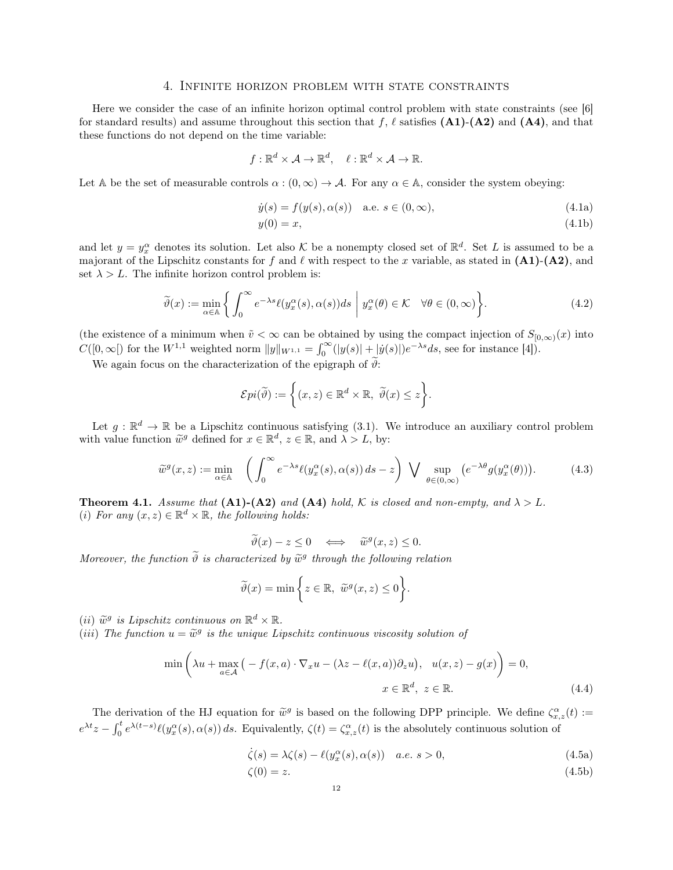#### 4. Infinite horizon problem with state constraints

Here we consider the case of an infinite horizon optimal control problem with state constraints (see [6] for standard results) and assume throughout this section that f,  $\ell$  satisfies (A1)-(A2) and (A4), and that these functions do not depend on the time variable:

$$
f:\mathbb{R}^d\times\mathcal{A}\to\mathbb{R}^d, \quad \ell:\mathbb{R}^d\times\mathcal{A}\to\mathbb{R}.
$$

Let A be the set of measurable controls  $\alpha : (0, \infty) \to \mathcal{A}$ . For any  $\alpha \in \mathbb{A}$ , consider the system obeying:

$$
\dot{y}(s) = f(y(s), \alpha(s)) \quad \text{a.e. } s \in (0, \infty), \tag{4.1a}
$$

$$
y(0) = x,\tag{4.1b}
$$

and let  $y = y_x^{\alpha}$  denotes its solution. Let also K be a nonempty closed set of  $\mathbb{R}^d$ . Set L is assumed to be a majorant of the Lipschitz constants for f and  $\ell$  with respect to the x variable, as stated in  $(A1)-(A2)$ , and set  $\lambda > L$ . The infinite horizon control problem is:

$$
\widetilde{\vartheta}(x) := \min_{\alpha \in \mathbb{A}} \left\{ \left. \int_0^\infty e^{-\lambda s} \ell(y_x^\alpha(s), \alpha(s)) ds \; \right| \; y_x^\alpha(\theta) \in \mathcal{K} \quad \forall \theta \in (0, \infty) \right\}.
$$
\n(4.2)

(the existence of a minimum when  $\tilde{v} < \infty$  can be obtained by using the compact injection of  $S_{[0,\infty)}(x)$  into  $C([0,\infty[)$  for the  $W^{1,1}$  weighted norm  $||y||_{W^{1,1}} = \int_0^\infty (|y(s)| + |\dot{y}(s)|) e^{-\lambda s} ds$ , see for instance [4]).

We again focus on the characterization of the epigraph of  $\tilde{\vartheta}$ :

$$
\mathcal{E}pi(\widetilde{\vartheta}) := \bigg\{ (x,z) \in \mathbb{R}^d \times \mathbb{R}, \ \widetilde{\vartheta}(x) \le z \bigg\}.
$$

Let  $g: \mathbb{R}^d \to \mathbb{R}$  be a Lipschitz continuous satisfying (3.1). We introduce an auxiliary control problem with value function  $\widetilde{w}^g$  defined for  $x \in \mathbb{R}^d$ ,  $z \in \mathbb{R}$ , and  $\lambda > L$ , by:

$$
\widetilde{w}^g(x,z) := \min_{\alpha \in \mathbb{A}} \quad \left( \int_0^\infty e^{-\lambda s} \ell(y_x^\alpha(s), \alpha(s)) \, ds - z \right) \bigvee \sup_{\theta \in (0,\infty)} \left( e^{-\lambda \theta} g(y_x^\alpha(\theta)) \right). \tag{4.3}
$$

**Theorem 4.1.** Assume that  $(A1)-(A2)$  and  $(A4)$  hold, K is closed and non-empty, and  $\lambda > L$ . (i) For any  $(x, z) \in \mathbb{R}^d \times \mathbb{R}$ , the following holds:

$$
\widetilde{\vartheta}(x) - z \le 0 \iff \widetilde{w}^g(x, z) \le 0.
$$

Moreover, the function  $\tilde{\vartheta}$  is characterized by  $\tilde{w}^g$  through the following relation

$$
\widetilde{\vartheta}(x) = \min\bigg\{z \in \mathbb{R}, \ \widetilde{w}^g(x, z) \le 0\bigg\}.
$$

(*ii*)  $\widetilde{w}^g$  is Lipschitz continuous on  $\mathbb{R}^d \times \mathbb{R}$ .<br>(*iii*) The function  $y - \widetilde{w}^g$  is the unique Li

(iii) The function  $u = \widetilde{w}^g$  is the unique Lipschitz continuous viscosity solution of

$$
\min\left(\lambda u + \max_{a \in \mathcal{A}} \left( -f(x, a) \cdot \nabla_x u - (\lambda z - \ell(x, a)) \partial_z u \right), u(x, z) - g(x) \right) = 0,
$$
\n
$$
x \in \mathbb{R}^d, z \in \mathbb{R}.
$$
\n(4.4)

The derivation of the HJ equation for  $\widetilde{w}^g$  is based on the following DPP principle. We define  $\zeta^{\alpha}_{x,z}(t) :=$  $e^{\lambda t}z - \int_0^t e^{\lambda(t-s)} \ell(y_x^{\alpha}(s), \alpha(s)) ds$ . Equivalently,  $\zeta(t) = \zeta_{x,z}(t)$  is the absolutely continuous solution of

$$
\dot{\zeta}(s) = \lambda \zeta(s) - \ell(y_x^{\alpha}(s), \alpha(s)) \quad a.e. \ s > 0,
$$
\n(4.5a)

$$
\zeta(0) = z.\tag{4.5b}
$$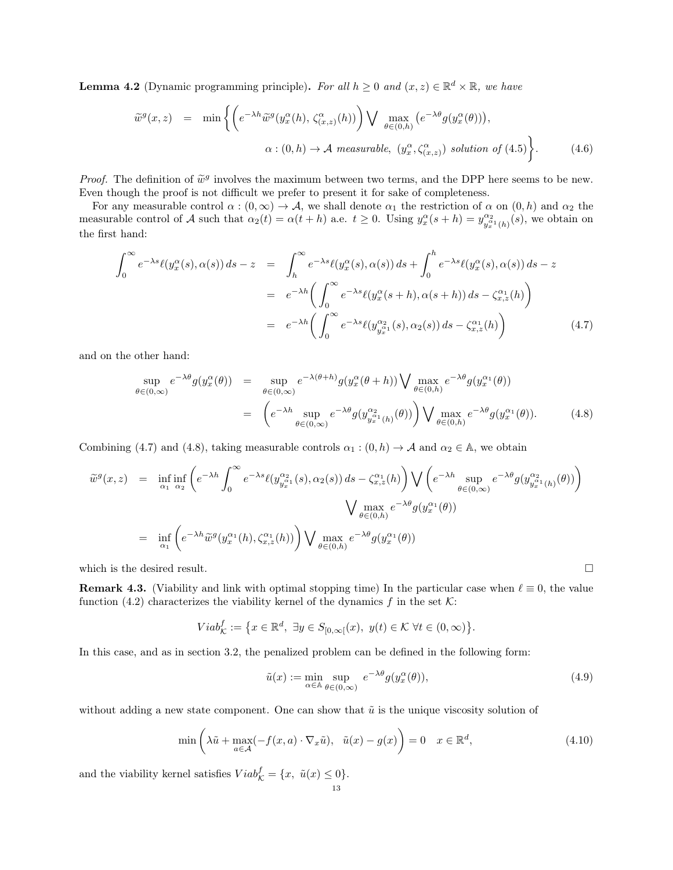**Lemma 4.2** (Dynamic programming principle). For all  $h \geq 0$  and  $(x, z) \in \mathbb{R}^d \times \mathbb{R}$ , we have

$$
\widetilde{w}^{g}(x,z) = \min \left\{ \left( e^{-\lambda h} \widetilde{w}^{g}(y_{x}^{\alpha}(h), \zeta_{(x,z)}^{\alpha}(h)) \right) \bigvee \max_{\theta \in (0,h)} \left( e^{-\lambda \theta} g(y_{x}^{\alpha}(\theta)) \right), \right\}.
$$
\n
$$
\alpha : (0,h) \to \mathcal{A} \text{ measurable}, \ (y_{x}^{\alpha}, \zeta_{(x,z)}^{\alpha}) \text{ solution of (4.5)} \right\}.
$$
\n(4.6)

*Proof.* The definition of  $\tilde{w}^g$  involves the maximum between two terms, and the DPP here seems to be new.<br>Even though the proof is not difficult we profer to present it for sake of completeness. Even though the proof is not difficult we prefer to present it for sake of completeness.

For any measurable control  $\alpha : (0, \infty) \to \mathcal{A}$ , we shall denote  $\alpha_1$  the restriction of  $\alpha$  on  $(0, h)$  and  $\alpha_2$  the measurable control of A such that  $\alpha_2(t) = \alpha(t+h)$  a.e.  $t \geq 0$ . Using  $y_x^{\alpha}(s+h) = y_{\alpha}^{\alpha_2}$  $\frac{\alpha_2}{y_x^{\alpha_1}(h)}(s)$ , we obtain on the first hand:

$$
\int_0^\infty e^{-\lambda s} \ell(y_x^\alpha(s), \alpha(s)) ds - z = \int_h^\infty e^{-\lambda s} \ell(y_x^\alpha(s), \alpha(s)) ds + \int_0^h e^{-\lambda s} \ell(y_x^\alpha(s), \alpha(s)) ds - z
$$
  

$$
= e^{-\lambda h} \left( \int_0^\infty e^{-\lambda s} \ell(y_x^\alpha(s+h), \alpha(s+h)) ds - \zeta_{x,z}^\alpha(h) \right)
$$
  

$$
= e^{-\lambda h} \left( \int_0^\infty e^{-\lambda s} \ell(y_{y_x^\alpha}^\alpha(s), \alpha_2(s)) ds - \zeta_{x,z}^\alpha(h) \right)
$$
(4.7)

and on the other hand:

$$
\sup_{\theta \in (0,\infty)} e^{-\lambda \theta} g(y_x^{\alpha}(\theta)) = \sup_{\theta \in (0,\infty)} e^{-\lambda(\theta+h)} g(y_x^{\alpha}(\theta+h)) \bigvee \max_{\theta \in (0,h)} e^{-\lambda \theta} g(y_x^{\alpha_1}(\theta))
$$

$$
= \left( e^{-\lambda h} \sup_{\theta \in (0,\infty)} e^{-\lambda \theta} g(y_{y_x^{\alpha_1}(h)}^{\alpha_2}(\theta)) \right) \bigvee \max_{\theta \in (0,h)} e^{-\lambda \theta} g(y_x^{\alpha_1}(\theta)). \tag{4.8}
$$

Combining (4.7) and (4.8), taking measurable controls  $\alpha_1 : (0, h) \to \mathcal{A}$  and  $\alpha_2 \in \mathbb{A}$ , we obtain

$$
\tilde{w}^{g}(x, z) = \inf_{\alpha_1} \inf_{\alpha_2} \left( e^{-\lambda h} \int_0^{\infty} e^{-\lambda s} \ell(y_{y_x^{\alpha_1}}^{\alpha_2}(s), \alpha_2(s)) ds - \zeta_{x, z}^{\alpha_1}(h) \right) \bigvee \left( e^{-\lambda h} \sup_{\theta \in (0, \infty)} e^{-\lambda \theta} g(y_{y_x^{\alpha_1}}^{\alpha_2}(h)) \right)
$$
  
\n
$$
= \inf_{\alpha_1} \left( e^{-\lambda h} \tilde{w}^{g}(y_x^{\alpha_1}(h), \zeta_{x, z}^{\alpha_1}(h)) \right) \bigvee \max_{\theta \in (0, h)} e^{-\lambda \theta} g(y_x^{\alpha_1}(\theta))
$$

which is the desired result.  $\Box$ 

**Remark 4.3.** (Viability and link with optimal stopping time) In the particular case when  $\ell \equiv 0$ , the value function (4.2) characterizes the viability kernel of the dynamics f in the set  $K$ :

$$
Viab_{\mathcal{K}}^{f} := \left\{ x \in \mathbb{R}^{d}, \ \exists y \in S_{[0,\infty[}(x), \ y(t) \in \mathcal{K} \ \forall t \in (0,\infty) \right\}.
$$

In this case, and as in section 3.2, the penalized problem can be defined in the following form:

$$
\tilde{u}(x) := \min_{\alpha \in \mathbb{A}} \sup_{\theta \in (0,\infty)} e^{-\lambda \theta} g(y_x^{\alpha}(\theta)),
$$
\n(4.9)

without adding a new state component. One can show that  $\tilde{u}$  is the unique viscosity solution of

$$
\min\left(\lambda \tilde{u} + \max_{a \in \mathcal{A}} (-f(x, a) \cdot \nabla_x \tilde{u}), \quad \tilde{u}(x) - g(x)\right) = 0 \quad x \in \mathbb{R}^d,
$$
\n(4.10)

and the viability kernel satisfies  $Viab_{\mathcal{K}}^f = \{x, \ \tilde{u}(x) \leq 0\}.$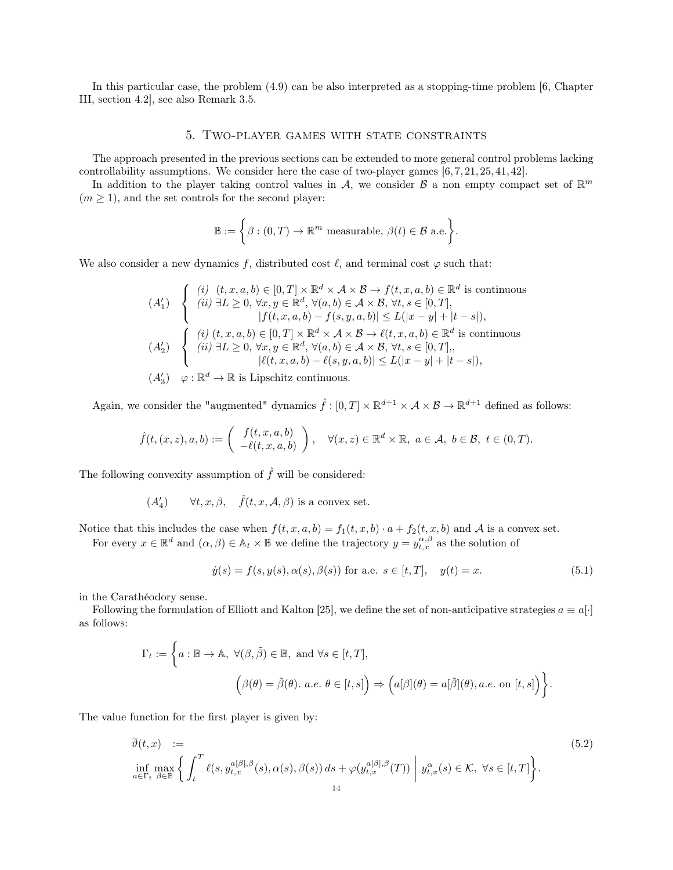In this particular case, the problem (4.9) can be also interpreted as a stopping-time problem [6, Chapter III, section 4.2], see also Remark 3.5.

## 5. Two-player games with state constraints

The approach presented in the previous sections can be extended to more general control problems lacking controllability assumptions. We consider here the case of two-player games [6, 7, 21, 25, 41, 42].

In addition to the player taking control values in A, we consider  $\mathcal{B}$  a non empty compact set of  $\mathbb{R}^m$  $(m \geq 1)$ , and the set controls for the second player:

$$
\mathbb{B} := \bigg\{\beta : (0, T) \to \mathbb{R}^m \text{ measurable, } \beta(t) \in \mathcal{B} \text{ a.e.}\bigg\}.
$$

We also consider a new dynamics f, distributed cost  $\ell$ , and terminal cost  $\varphi$  such that:

$$
(A'_1) \quad \begin{cases} \n(i) \quad (t, x, a, b) \in [0, T] \times \mathbb{R}^d \times \mathcal{A} \times \mathcal{B} \to f(t, x, a, b) \in \mathbb{R}^d \text{ is continuous} \\ \n(ii) \exists L \ge 0, \forall x, y \in \mathbb{R}^d, \forall (a, b) \in \mathcal{A} \times \mathcal{B}, \forall t, s \in [0, T], \\ \n|f(t, x, a, b) - f(s, y, a, b)| \le L(|x - y| + |t - s|), \\ \n(i) \quad (t, x, a, b) \in [0, T] \times \mathbb{R}^d \times \mathcal{A} \times \mathcal{B} \to \ell(t, x, a, b) \in \mathbb{R}^d \text{ is continuous} \\ \n(ii) \quad \exists L \ge 0, \forall x, y \in \mathbb{R}^d, \forall (a, b) \in \mathcal{A} \times \mathcal{B}, \forall t, s \in [0, T], \\ \n| \ell(t, x, a, b) - \ell(s, y, a, b)| \le L(|x - y| + |t - s|), \\ \n(A'_3) \quad \varphi : \mathbb{R}^d \to \mathbb{R} \text{ is Lipschitz continuous.} \n\end{cases}
$$

Again, we consider the "augmented" dynamics  $\hat{f} : [0, T] \times \mathbb{R}^{d+1} \times \mathcal{A} \times \mathcal{B} \to \mathbb{R}^{d+1}$  defined as follows:

$$
\hat{f}(t,(x,z),a,b) := \begin{pmatrix} f(t,x,a,b) \\ -\ell(t,x,a,b) \end{pmatrix}, \quad \forall (x,z) \in \mathbb{R}^d \times \mathbb{R}, \ a \in \mathcal{A}, \ b \in \mathcal{B}, \ t \in (0,T).
$$

The following convexity assumption of  $\hat{f}$  will be considered:

 $(A'_4)$  $\forall t, x, \beta, \quad \hat{f}(t, x, \mathcal{A}, \beta)$  is a convex set.

Notice that this includes the case when  $f(t, x, a, b) = f_1(t, x, b) \cdot a + f_2(t, x, b)$  and A is a convex set. For every  $x \in \mathbb{R}^d$  and  $(\alpha, \beta) \in \mathbb{A}_t \times \mathbb{B}$  we define the trajectory  $y = y_{t,x}^{\alpha,\beta}$  as the solution of

$$
\dot{y}(s) = f(s, y(s), \alpha(s), \beta(s)) \text{ for a.e. } s \in [t, T], \quad y(t) = x. \tag{5.1}
$$

in the Carathéodory sense.

Following the formulation of Elliott and Kalton [25], we define the set of non-anticipative strategies  $a \equiv a[\cdot]$ as follows:

$$
\Gamma_t := \left\{ a : \mathbb{B} \to \mathbb{A}, \ \forall (\beta, \tilde{\beta}) \in \mathbb{B}, \ \text{and} \ \forall s \in [t, T], \right\}
$$

$$
\left( \beta(\theta) = \tilde{\beta}(\theta). \ a.e. \ \theta \in [t, s] \right) \Rightarrow \left( a[\beta](\theta) = a[\tilde{\beta}](\theta), a.e. \text{ on } [t, s] \right) \right\}.
$$

The value function for the first player is given by:

$$
\overline{\vartheta}(t,x) := \inf_{a \in \Gamma_t} \max_{\beta \in \mathbb{B}} \left\{ \int_t^T \ell(s, y_{t,x}^{a[\beta],\beta}(s), \alpha(s), \beta(s)) ds + \varphi(y_{t,x}^{a[\beta],\beta}(T)) \middle| y_{t,x}^{\alpha}(s) \in \mathcal{K}, \ \forall s \in [t,T] \right\}.
$$
\n(5.2)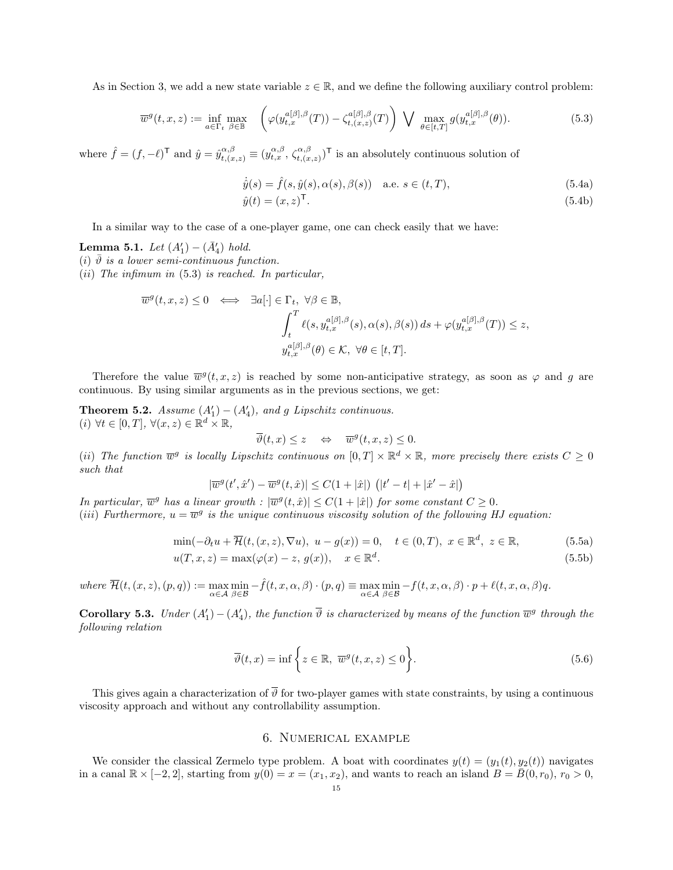As in Section 3, we add a new state variable  $z \in \mathbb{R}$ , and we define the following auxiliary control problem:

$$
\overline{w}^{g}(t,x,z) := \inf_{a \in \Gamma_t} \max_{\beta \in \mathbb{B}} \left( \varphi(y_{t,x}^{a[\beta],\beta}(T)) - \zeta_{t,(x,z)}^{a[\beta],\beta}(T) \right) \bigvee \max_{\theta \in [t,T]} g(y_{t,x}^{a[\beta],\beta}(\theta)). \tag{5.3}
$$

where  $\hat{f} = (f, -\ell)^\mathsf{T}$  and  $\hat{y} = \hat{y}_{t,(x,z)}^{\alpha,\beta} \equiv (y_{t,x}^{\alpha,\beta}, \zeta_{t,(x,z)}^{\alpha,\beta})^\mathsf{T}$  is an absolutely continuous solution of

$$
\dot{\hat{y}}(s) = \hat{f}(s, \hat{y}(s), \alpha(s), \beta(s)) \quad \text{a.e. } s \in (t, T), \tag{5.4a}
$$

$$
\hat{y}(t) = (x, z)^{\mathsf{T}}.\tag{5.4b}
$$

In a similar way to the case of a one-player game, one can check easily that we have:

**Lemma 5.1.** Let  $(A'_1) - (\bar{A}'_4)$  hold.

(i)  $\vartheta$  is a lower semi-continuous function.

(*ii*) The infimum in  $(5.3)$  is reached. In particular,

$$
\overline{w}^{g}(t, x, z) \leq 0 \iff \exists a[\cdot] \in \Gamma_{t}, \ \forall \beta \in \mathbb{B},
$$
\n
$$
\int_{t}^{T} \ell(s, y_{t, x}^{a[\beta], \beta}(s), \alpha(s), \beta(s)) ds + \varphi(y_{t, x}^{a[\beta], \beta}(T)) \leq z,
$$
\n
$$
y_{t, x}^{a[\beta], \beta}(\theta) \in \mathcal{K}, \ \forall \theta \in [t, T].
$$

Therefore the value  $\overline{w}^g(t, x, z)$  is reached by some non-anticipative strategy, as soon as  $\varphi$  and g are continuous. By using similar arguments as in the previous sections, we get:

**Theorem 5.2.** Assume  $(A'_1) - (A'_4)$ , and g Lipschitz continuous.  $(i) \ \forall t \in [0,T], \ \forall (x,z) \in \mathbb{R}^d \times \mathbb{R},$ 

 $\overline{\vartheta}(t,x) \leq z \quad \Leftrightarrow \quad \overline{w}^g(t,x,z) \leq 0.$ 

(ii) The function  $\overline{w}^g$  is locally Lipschitz continuous on  $[0,T] \times \mathbb{R}^d \times \mathbb{R}$ , more precisely there exists  $C \geq 0$ such that

 $|\overline{w}^{g}(t',\hat{x}') - \overline{w}^{g}(t,\hat{x})| \leq C(1+|\hat{x}|) \left( |t'-t| + |\hat{x}'-\hat{x}| \right)$ 

In particular,  $\overline{w}^g$  has a linear growth :  $|\overline{w}^g(t, \hat{x})| \leq C(1 + |\hat{x}|)$  for some constant  $C \geq 0$ .

(iii) Furthermore,  $u = \overline{w}^g$  is the unique continuous viscosity solution of the following HJ equation:

$$
\min(-\partial_t u + \overline{\mathcal{H}}(t, (x, z), \nabla u), u - g(x)) = 0, \quad t \in (0, T), x \in \mathbb{R}^d, z \in \mathbb{R},
$$
\n
$$
u(T, x, z) = \max(\varphi(x) - z, g(x)), \quad x \in \mathbb{R}^d.
$$
\n(5.5a)

where 
$$
\overline{\mathcal{H}}(t,(x,z),(p,q)) := \max_{\alpha \in \mathcal{A}} \min_{\beta \in \mathcal{B}} -\hat{f}(t,x,\alpha,\beta) \cdot (p,q) \equiv \max_{\alpha \in \mathcal{A}} \min_{\beta \in \mathcal{B}} -f(t,x,\alpha,\beta) \cdot p + \ell(t,x,\alpha,\beta)q.
$$

**Corollary 5.3.** Under  $(A'_1) - (A'_4)$ , the function  $\overline{\vartheta}$  is characterized by means of the function  $\overline{w}^g$  through the following relation

$$
\overline{\vartheta}(t,x) = \inf \left\{ z \in \mathbb{R}, \ \overline{w}^g(t,x,z) \le 0 \right\}.
$$
\n(5.6)

This gives again a characterization of  $\overline{\vartheta}$  for two-player games with state constraints, by using a continuous viscosity approach and without any controllability assumption.

### 6. Numerical example

We consider the classical Zermelo type problem. A boat with coordinates  $y(t) = (y_1(t), y_2(t))$  navigates in a canal  $\mathbb{R} \times [-2, 2]$ , starting from  $y(0) = x = (x_1, x_2)$ , and wants to reach an island  $B = \overline{B}(0, r_0)$ ,  $r_0 > 0$ ,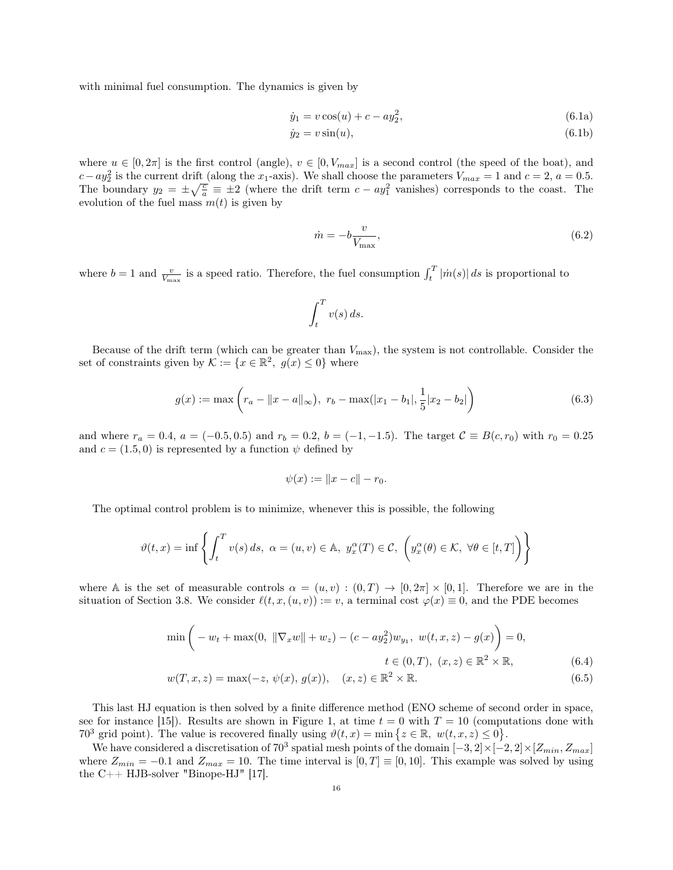with minimal fuel consumption. The dynamics is given by

$$
\dot{y}_1 = v \cos(u) + c - ay_2^2,\tag{6.1a}
$$

$$
\dot{y}_2 = v \sin(u),\tag{6.1b}
$$

where  $u \in [0, 2\pi]$  is the first control (angle),  $v \in [0, V_{max}]$  is a second control (the speed of the boat), and  $c-ay_2^2$  is the current drift (along the x<sub>1</sub>-axis). We shall choose the parameters  $V_{max} = 1$  and  $c = 2$ ,  $a = 0.5$ . The boundary  $y_2 = \pm \sqrt{\frac{c}{a}} \equiv \pm 2$  (where the drift term  $c - ay_1^2$  vanishes) corresponds to the coast. The evolution of the fuel mass  $m(t)$  is given by

$$
\dot{m} = -b \frac{v}{V_{\text{max}}},\tag{6.2}
$$

where  $b = 1$  and  $\frac{v}{V_{\text{max}}}$  is a speed ratio. Therefore, the fuel consumption  $\int_t^T |\dot{m}(s)| ds$  is proportional to

$$
\int_t^T v(s) \, ds.
$$

Because of the drift term (which can be greater than  $V_{\text{max}}$ ), the system is not controllable. Consider the set of constraints given by  $\mathcal{K} := \{x \in \mathbb{R}^2, g(x) \leq 0\}$  where

$$
g(x) := \max\left(r_a - \|x - a\|_{\infty}\right), \ r_b - \max(|x_1 - b_1|, \frac{1}{5}|x_2 - b_2|\right) \tag{6.3}
$$

and where  $r_a = 0.4$ ,  $a = (-0.5, 0.5)$  and  $r_b = 0.2$ ,  $b = (-1, -1.5)$ . The target  $C \equiv B(c, r_0)$  with  $r_0 = 0.25$ and  $c = (1.5, 0)$  is represented by a function  $\psi$  defined by

$$
\psi(x) := \|x - c\| - r_0.
$$

The optimal control problem is to minimize, whenever this is possible, the following

$$
\vartheta(t,x) = \inf \left\{ \int_t^T v(s) \, ds, \ \alpha = (u,v) \in \mathbb{A}, \ y_x^{\alpha}(T) \in \mathcal{C}, \ \left( y_x^{\alpha}(\theta) \in \mathcal{K}, \ \forall \theta \in [t,T] \right) \right\}
$$

where A is the set of measurable controls  $\alpha = (u, v) : (0, T) \to [0, 2\pi] \times [0, 1]$ . Therefore we are in the situation of Section 3.8. We consider  $\ell(t, x, (u, v)) := v$ , a terminal cost  $\varphi(x) \equiv 0$ , and the PDE becomes

$$
\min\left(-w_t + \max(0, \|\nabla_x w\| + w_z) - (c - ay_2^2)w_{y_1}, \ w(t, x, z) - g(x)\right) = 0,
$$
\n
$$
f \in (0, T) \quad (x, y) \in \mathbb{R}^2 \times \mathbb{R} \quad (6, 4)
$$

$$
t \in (0, T), \ (x, z) \in \mathbb{R}^2 \times \mathbb{R}, \tag{6.4}
$$

$$
w(T, x, z) = \max(-z, \psi(x), g(x)), \quad (x, z) \in \mathbb{R}^2 \times \mathbb{R}.
$$
 (6.5)

This last HJ equation is then solved by a finite difference method (ENO scheme of second order in space, see for instance [15]). Results are shown in Figure 1, at time  $t = 0$  with  $T = 10$  (computations done with 70<sup>3</sup> grid point). The value is recovered finally using  $\vartheta(t,x) = \min \{z \in \mathbb{R}, w(t,x,z) \leq 0\}.$ 

We have considered a discretisation of  $70^3$  spatial mesh points of the domain  $[-3, 2] \times [-2, 2] \times [Z_{min}, Z_{max}]$ where  $Z_{min} = -0.1$  and  $Z_{max} = 10$ . The time interval is  $[0, T] \equiv [0, 10]$ . This example was solved by using the C++ HJB-solver "Binope-HJ" [17].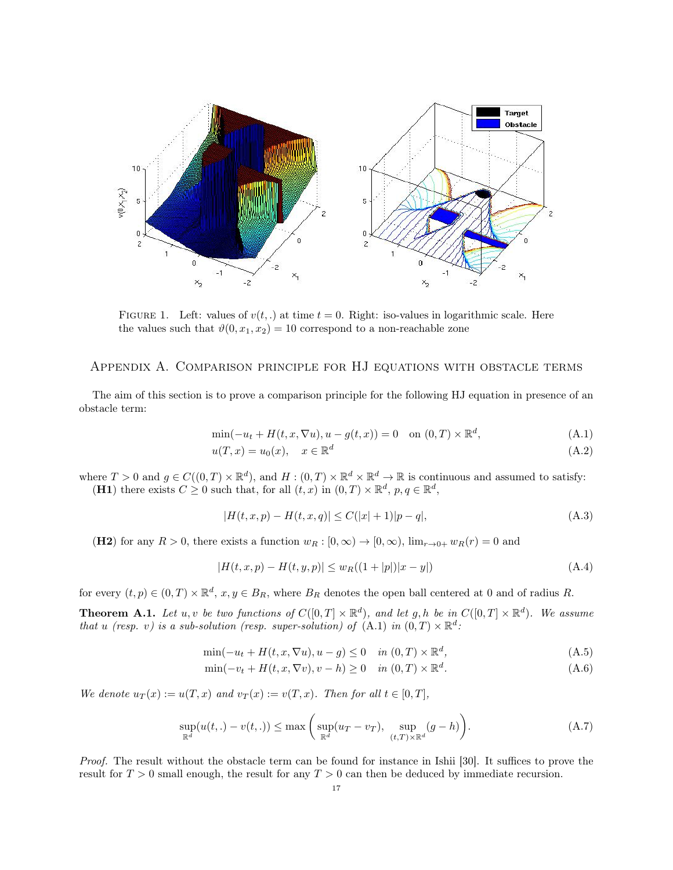

FIGURE 1. Left: values of  $v(t,.)$  at time  $t = 0$ . Right: iso-values in logarithmic scale. Here the values such that  $\vartheta(0, x_1, x_2) = 10$  correspond to a non-reachable zone

# Appendix A. Comparison principle for HJ equations with obstacle terms

The aim of this section is to prove a comparison principle for the following HJ equation in presence of an obstacle term:

$$
\min(-u_t + H(t, x, \nabla u), u - g(t, x)) = 0 \quad \text{on } (0, T) \times \mathbb{R}^d,
$$
\n(A.1)

$$
u(T, x) = u_0(x), \quad x \in \mathbb{R}^d \tag{A.2}
$$

where  $T > 0$  and  $g \in C((0,T) \times \mathbb{R}^d)$ , and  $H : (0,T) \times \mathbb{R}^d \times \mathbb{R}^d \to \mathbb{R}$  is continuous and assumed to satisfy: (H1) there exists  $C \geq 0$  such that, for all  $(t, x)$  in  $(0, T) \times \mathbb{R}^d$ ,  $p, q \in \mathbb{R}^d$ ,

$$
|H(t, x, p) - H(t, x, q)| \le C(|x| + 1)|p - q|,
$$
\n(A.3)

(H2) for any  $R > 0$ , there exists a function  $w_R : [0, \infty) \to [0, \infty)$ ,  $\lim_{r \to 0^+} w_R(r) = 0$  and

$$
|H(t, x, p) - H(t, y, p)| \le w_R((1+|p|)|x-y|)
$$
\n(A.4)

for every  $(t, p) \in (0, T) \times \mathbb{R}^d$ ,  $x, y \in B_R$ , where  $B_R$  denotes the open ball centered at 0 and of radius R.

**Theorem A.1.** Let u, v be two functions of  $C([0,T] \times \mathbb{R}^d)$ , and let g, h be in  $C([0,T] \times \mathbb{R}^d)$ . We assume that u (resp. v) is a sub-solution (resp. super-solution) of  $(A.1)$  in  $(0,T) \times \mathbb{R}^d$ .

$$
\min(-u_t + H(t, x, \nabla u), u - g) \le 0 \quad in (0, T) \times \mathbb{R}^d,
$$
\n(A.5)

$$
\min(-v_t + H(t, x, \nabla v), v - h) \ge 0 \quad in (0, T) \times \mathbb{R}^d. \tag{A.6}
$$

We denote  $u_T(x) := u(T, x)$  and  $v_T(x) := v(T, x)$ . Then for all  $t \in [0, T]$ ,

$$
\sup_{\mathbb{R}^d} (u(t,.) - v(t,.)) \le \max\left(\sup_{\mathbb{R}^d} (u_T - v_T), \sup_{(t,T) \times \mathbb{R}^d} (g - h)\right). \tag{A.7}
$$

Proof. The result without the obstacle term can be found for instance in Ishii [30]. It suffices to prove the result for  $T > 0$  small enough, the result for any  $T > 0$  can then be deduced by immediate recursion.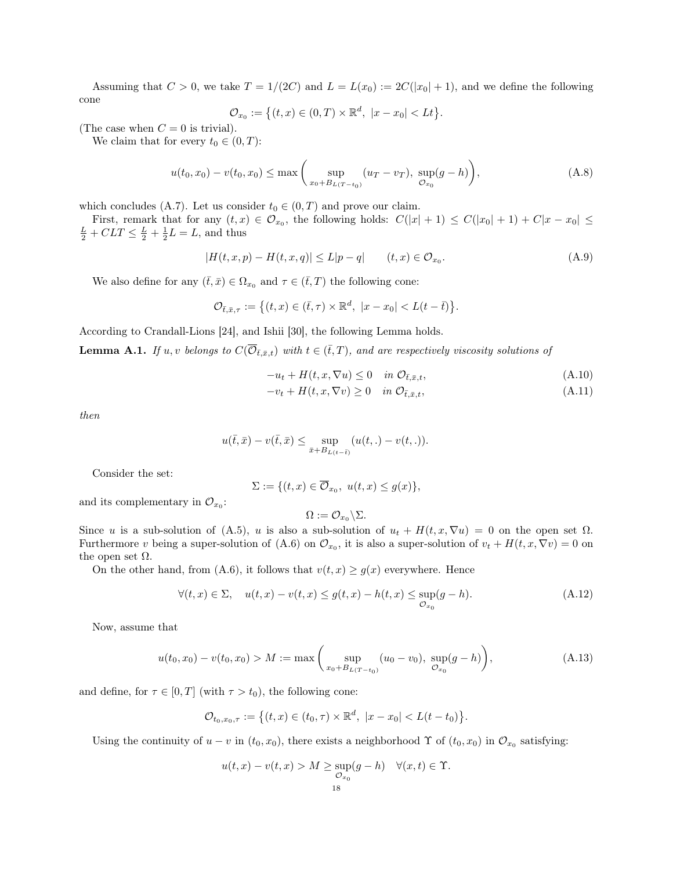Assuming that  $C > 0$ , we take  $T = 1/(2C)$  and  $L = L(x_0) := 2C(|x_0| + 1)$ , and we define the following cone

$$
\mathcal{O}_{x_0} := \big\{ (t, x) \in (0, T) \times \mathbb{R}^d, \ |x - x_0| < Lt \big\}.
$$

(The case when  $C = 0$  is trivial).

We claim that for every  $t_0 \in (0, T)$ :

$$
u(t_0, x_0) - v(t_0, x_0) \le \max\left(\sup_{x_0 + B_{L(T - t_0)}} (u_T - v_T), \sup_{\mathcal{O}_{x_0}} (g - h)\right),\tag{A.8}
$$

which concludes (A.7). Let us consider  $t_0 \in (0, T)$  and prove our claim.

First, remark that for any  $(t, x) \in \mathcal{O}_{x_0}$ , the following holds:  $C(|x| + 1) \leq C(|x_0| + 1) + C|x - x_0| \leq$  $\frac{L}{2} + CLT \leq \frac{L}{2} + \frac{1}{2}L = L$ , and thus

$$
|H(t, x, p) - H(t, x, q)| \le L|p - q| \qquad (t, x) \in \mathcal{O}_{x_0}.
$$
 (A.9)

We also define for any  $(\bar{t}, \bar{x}) \in \Omega_{x_0}$  and  $\tau \in (\bar{t}, T)$  the following cone:

$$
\mathcal{O}_{\bar{t},\bar{x},\tau}:=\big\{(t,x)\in (\bar{t},\tau)\times\mathbb{R}^d,\ |x-x_0|
$$

According to Crandall-Lions [24], and Ishii [30], the following Lemma holds.

**Lemma A.1.** If u, v belongs to  $C(\overline{O}_{\bar{t},\bar{x},t})$  with  $t \in (\bar{t},T)$ , and are respectively viscosity solutions of

$$
-u_t + H(t, x, \nabla u) \le 0 \quad \text{in } \mathcal{O}_{\bar{t}, \bar{x}, t}, \tag{A.10}
$$

$$
-v_t + H(t, x, \nabla v) \ge 0 \quad \text{in } \mathcal{O}_{\bar{t}, \bar{x}, t}, \tag{A.11}
$$

then

$$
u(\bar{t}, \bar{x}) - v(\bar{t}, \bar{x}) \le \sup_{\bar{x} \in B_{L(t-\bar{t})}} (u(t,.) - v(t,.)).
$$

Consider the set:

$$
\Sigma := \{ (t, x) \in \overline{O}_{x_0}, \ u(t, x) \le g(x) \},
$$

and its complementary in  $\mathcal{O}_{x_0}$ :

$$
\Omega := \mathcal{O}_{x_0} \backslash \Sigma.
$$

Since u is a sub-solution of (A.5), u is also a sub-solution of  $u_t + H(t, x, \nabla u) = 0$  on the open set  $\Omega$ . Furthermore v being a super-solution of (A.6) on  $\mathcal{O}_{x_0}$ , it is also a super-solution of  $v_t + H(t, x, \nabla v) = 0$  on the open set  $\Omega$ .

On the other hand, from (A.6), it follows that  $v(t, x) \ge g(x)$  everywhere. Hence

$$
\forall (t,x) \in \Sigma, \quad u(t,x) - v(t,x) \le g(t,x) - h(t,x) \le \sup_{\mathcal{O}_{x_0}} (g - h). \tag{A.12}
$$

Now, assume that

$$
u(t_0, x_0) - v(t_0, x_0) > M := \max\left(\sup_{x_0 + B_{L(T - t_0)}} (u_0 - v_0), \sup_{\mathcal{O}_{x_0}} (g - h)\right),\tag{A.13}
$$

and define, for  $\tau \in [0, T]$  (with  $\tau > t_0$ ), the following cone:

$$
\mathcal{O}_{t_0,x_0,\tau} := \big\{ (t,x) \in (t_0,\tau) \times \mathbb{R}^d, \ |x - x_0| < L(t - t_0) \big\}.
$$

Using the continuity of  $u - v$  in  $(t_0, x_0)$ , there exists a neighborhood  $\Upsilon$  of  $(t_0, x_0)$  in  $\mathcal{O}_{x_0}$  satisfying:

$$
u(t,x) - v(t,x) > M \ge \sup_{\mathcal{O}_{x_0}} (g - h) \quad \forall (x,t) \in \Upsilon.
$$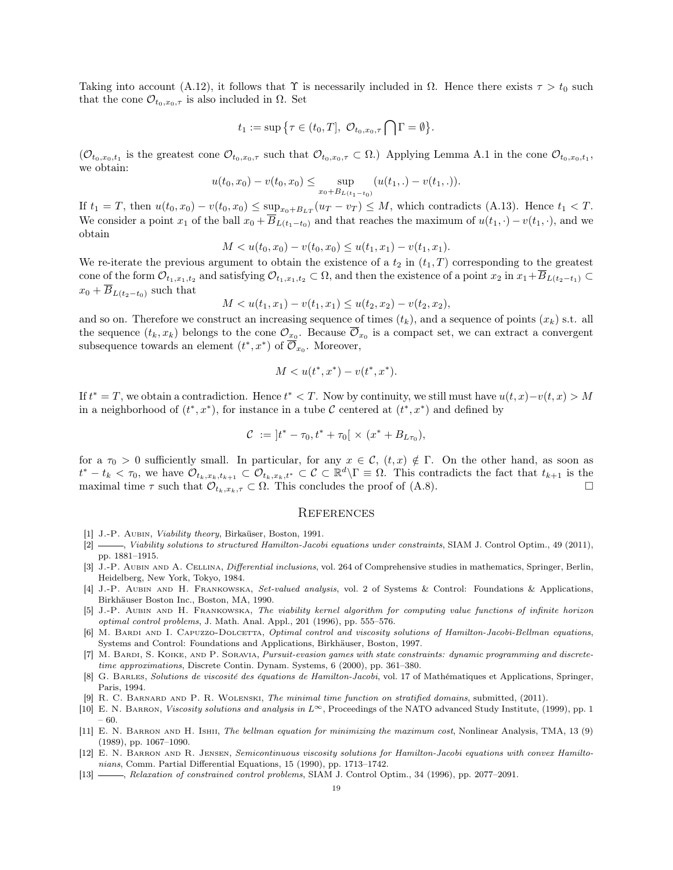Taking into account (A.12), it follows that  $\Upsilon$  is necessarily included in  $\Omega$ . Hence there exists  $\tau > t_0$  such that the cone  $\mathcal{O}_{t_0,x_0,\tau}$  is also included in  $\Omega$ . Set

$$
t_1 := \sup \{ \tau \in (t_0, T], \mathcal{O}_{t_0, x_0, \tau} \bigcap \Gamma = \emptyset \}.
$$

 $(\mathcal{O}_{t_0,x_0,t_1})$  is the greatest cone  $\mathcal{O}_{t_0,x_0,\tau}$  such that  $\mathcal{O}_{t_0,x_0,\tau} \subset \Omega$ .) Applying Lemma A.1 in the cone  $\mathcal{O}_{t_0,x_0,t_1}$ , we obtain:

$$
u(t_0, x_0) - v(t_0, x_0) \le \sup_{x_0 + B_{L(t_1 - t_0)}} (u(t_1,.) - v(t_1,.)).
$$

If  $t_1 = T$ , then  $u(t_0, x_0) - v(t_0, x_0) \leq \sup_{x_0 + B_{LT}} (u_T - v_T) \leq M$ , which contradicts (A.13). Hence  $t_1 < T$ . We consider a point  $x_1$  of the ball  $x_0 + \overline{B}_{L(t_1-t_0)}$  and that reaches the maximum of  $u(t_1, \cdot) - v(t_1, \cdot)$ , and we obtain

$$
M < u(t_0, x_0) - v(t_0, x_0) \le u(t_1, x_1) - v(t_1, x_1).
$$

We re-iterate the previous argument to obtain the existence of a  $t_2$  in  $(t_1, T)$  corresponding to the greatest cone of the form  $\mathcal{O}_{t_1,x_1,t_2}$  and satisfying  $\mathcal{O}_{t_1,x_1,t_2} \subset \Omega$ , and then the existence of a point  $x_2$  in  $x_1 + \overline{B}_{L(t_2-t_1)} \subset$  $x_0 + \overline{B}_{L(t_2-t_0)}$  such that

$$
M < u(t_1, x_1) - v(t_1, x_1) \le u(t_2, x_2) - v(t_2, x_2),
$$

and so on. Therefore we construct an increasing sequence of times  $(t_k)$ , and a sequence of points  $(x_k)$  s.t. all the sequence  $(t_k, x_k)$  belongs to the cone  $\mathcal{O}_{x_0}$ . Because  $\overline{\mathcal{O}}_{x_0}$  is a compact set, we can extract a convergent subsequence towards an element  $(t^*, x^*)$  of  $\overline{\mathcal{O}}_{x_0}$ . Moreover,

$$
M < u(t^*, x^*) - v(t^*, x^*).
$$

If  $t^* = T$ , we obtain a contradiction. Hence  $t^* < T$ . Now by continuity, we still must have  $u(t, x) - v(t, x) > M$ in a neighborhood of  $(t^*, x^*)$ , for instance in a tube C centered at  $(t^*, x^*)$  and defined by

$$
C := |t^* - \tau_0, t^* + \tau_0| \times (x^* + B_{L\tau_0}),
$$

for a  $\tau_0 > 0$  sufficiently small. In particular, for any  $x \in \mathcal{C}$ ,  $(t, x) \notin \Gamma$ . On the other hand, as soon as  $t^* - t_k < \tau_0$ , we have  $\mathcal{O}_{t_k,x_k,t_{k+1}} \subset \mathcal{O}_{t_k,x_k,t^*} \subset \mathcal{C} \subset \mathbb{R}^d \backslash \Gamma \equiv \Omega$ . This contradicts the fact that  $t_{k+1}$  is the maximal time  $\tau$  such that  $\mathcal{O}_{t_k,x_k,\tau} \subset \Omega$ . This concludes the proof of (A.8).

#### **REFERENCES**

- [1] J.-P. AUBIN, Viability theory, Birkaüser, Boston, 1991.
- [2] , Viability solutions to structured Hamilton-Jacobi equations under constraints, SIAM J. Control Optim., 49 (2011), pp. 1881–1915.
- [3] J.-P. Aubin and A. Cellina, Differential inclusions, vol. 264 of Comprehensive studies in mathematics, Springer, Berlin, Heidelberg, New York, Tokyo, 1984.
- [4] J.-P. Aubin and H. Frankowska, Set-valued analysis, vol. 2 of Systems & Control: Foundations & Applications, Birkhäuser Boston Inc., Boston, MA, 1990.
- [5] J.-P. Aubin and H. Frankowska, The viability kernel algorithm for computing value functions of infinite horizon optimal control problems, J. Math. Anal. Appl., 201 (1996), pp. 555–576.
- [6] M. BARDI AND I. CAPUZZO-DOLCETTA, Optimal control and viscosity solutions of Hamilton-Jacobi-Bellman equations, Systems and Control: Foundations and Applications, Birkhäuser, Boston, 1997.
- [7] M. Bardi, S. Koike, and P. Soravia, Pursuit-evasion games with state constraints: dynamic programming and discretetime approximations, Discrete Contin. Dynam. Systems, 6 (2000), pp. 361–380.
- [8] G. Barles, Solutions de viscosité des équations de Hamilton-Jacobi, vol. 17 of Mathématiques et Applications, Springer, Paris, 1994.
- [9] R. C. Barnard and P. R. Wolenski, The minimal time function on stratified domains, submitted, (2011).
- [10] E. N. Barron, Viscosity solutions and analysis in L∞, Proceedings of the NATO advanced Study Institute, (1999), pp. 1 – 60.
- [11] E. N. BARRON AND H. ISHII, The bellman equation for minimizing the maximum cost, Nonlinear Analysis, TMA, 13 (9) (1989), pp. 1067–1090.
- [12] E. N. Barron and R. Jensen, Semicontinuous viscosity solutions for Hamilton-Jacobi equations with convex Hamiltonians, Comm. Partial Differential Equations, 15 (1990), pp. 1713–1742.
- [13] , Relaxation of constrained control problems, SIAM J. Control Optim., 34 (1996), pp. 2077–2091.